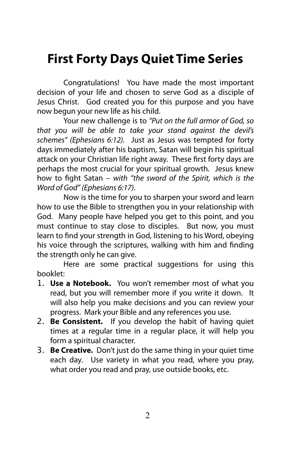# **First Forty Days Quiet Time Series**

Congratulations! You have made the most important decision of your life and chosen to serve God as a disciple of Jesus Christ. God created you for this purpose and you have now begun your new life as his child.

Your new challenge is to *"Put on the full armor of God, so that you will be able to take your stand against the devil's schemes" (Ephesians 6:12).* Just as Jesus was tempted for forty days immediately after his baptism, Satan will begin his spiritual attack on your Christian life right away. These first forty days are perhaps the most crucial for your spiritual growth. Jesus knew how to !ght Satan – *with "the sword of the Spirit, which is the Word of God" (Ephesians 6:17)*.

Now is the time for you to sharpen your sword and learn how to use the Bible to strengthen you in your relationship with God. Many people have helped you get to this point, and you must continue to stay close to disciples. But now, you must learn to find your strength in God, listening to his Word, obeying his voice through the scriptures, walking with him and finding the strength only he can give.

Here are some practical suggestions for using this booklet:

- 1. **Use a Notebook.** You won't remember most of what you read, but you will remember more if you write it down. It will also help you make decisions and you can review your progress. Mark your Bible and any references you use.
- 2. **Be Consistent.** If you develop the habit of having quiet times at a regular time in a regular place, it will help you form a spiritual character.
- 3. **Be Creative.** Don't just do the same thing in your quiet time each day. Use variety in what you read, where you pray, what order you read and pray, use outside books, etc.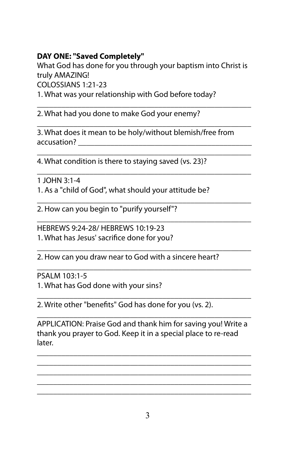## **DAY ONE: "Saved Completely"**

What God has done for you through your baptism into Christ is truly AMAZING!

\_\_\_\_\_\_\_\_\_\_\_\_\_\_\_\_\_\_\_\_\_\_\_\_\_\_\_\_\_\_\_\_\_\_\_\_\_\_\_\_\_\_\_\_\_\_\_\_\_\_\_\_\_

\_\_\_\_\_\_\_\_\_\_\_\_\_\_\_\_\_\_\_\_\_\_\_\_\_\_\_\_\_\_\_\_\_\_\_\_\_\_\_\_\_\_\_\_\_\_\_\_\_\_\_\_\_

\_\_\_\_\_\_\_\_\_\_\_\_\_\_\_\_\_\_\_\_\_\_\_\_\_\_\_\_\_\_\_\_\_\_\_\_\_\_\_\_\_\_\_\_\_\_\_\_\_\_\_\_\_

COLOSSIANS 1:21-23

1. What was your relationship with God before today?

2. What had you done to make God your enemy?

\_\_\_\_\_\_\_\_\_\_\_\_\_\_\_\_\_\_\_\_\_\_\_\_\_\_\_\_\_\_\_\_\_\_\_\_\_\_\_\_\_\_\_\_\_\_\_\_\_\_\_\_\_ 3. What does it mean to be holy/without blemish/free from accusation? \_\_\_\_\_\_\_\_\_\_\_\_\_\_\_\_\_\_\_\_\_\_\_\_\_\_\_\_\_\_\_\_\_\_\_\_\_\_\_\_\_\_\_

\_\_\_\_\_\_\_\_\_\_\_\_\_\_\_\_\_\_\_\_\_\_\_\_\_\_\_\_\_\_\_\_\_\_\_\_\_\_\_\_\_\_\_\_\_\_\_\_\_\_\_\_\_ 4. What condition is there to staying saved (vs. 23)?

1 JOHN 3:1-4 1. As a "child of God", what should your attitude be?

\_\_\_\_\_\_\_\_\_\_\_\_\_\_\_\_\_\_\_\_\_\_\_\_\_\_\_\_\_\_\_\_\_\_\_\_\_\_\_\_\_\_\_\_\_\_\_\_\_\_\_\_\_ 2. How can you begin to "purify yourself"?

HEBREWS 9:24-28/ HEBREWS 10:19-23 1. What has Jesus' sacrifice done for you?

\_\_\_\_\_\_\_\_\_\_\_\_\_\_\_\_\_\_\_\_\_\_\_\_\_\_\_\_\_\_\_\_\_\_\_\_\_\_\_\_\_\_\_\_\_\_\_\_\_\_\_\_\_ 2. How can you draw near to God with a sincere heart?

\_\_\_\_\_\_\_\_\_\_\_\_\_\_\_\_\_\_\_\_\_\_\_\_\_\_\_\_\_\_\_\_\_\_\_\_\_\_\_\_\_\_\_\_\_\_\_\_\_\_\_\_\_ PSALM 103:1-5

1. What has God done with your sins?

\_\_\_\_\_\_\_\_\_\_\_\_\_\_\_\_\_\_\_\_\_\_\_\_\_\_\_\_\_\_\_\_\_\_\_\_\_\_\_\_\_\_\_\_\_\_\_\_\_\_\_\_\_ 2. Write other "benefits" God has done for you (vs. 2).

\_\_\_\_\_\_\_\_\_\_\_\_\_\_\_\_\_\_\_\_\_\_\_\_\_\_\_\_\_\_\_\_\_\_\_\_\_\_\_\_\_\_\_\_\_\_\_\_\_\_\_\_\_ APPLICATION: Praise God and thank him for saving you! Write a thank you prayer to God. Keep it in a special place to re-read later.

\_\_\_\_\_\_\_\_\_\_\_\_\_\_\_\_\_\_\_\_\_\_\_\_\_\_\_\_\_\_\_\_\_\_\_\_\_\_\_\_\_\_\_\_\_\_\_\_\_\_\_\_\_ \_\_\_\_\_\_\_\_\_\_\_\_\_\_\_\_\_\_\_\_\_\_\_\_\_\_\_\_\_\_\_\_\_\_\_\_\_\_\_\_\_\_\_\_\_\_\_\_\_\_\_\_\_ \_\_\_\_\_\_\_\_\_\_\_\_\_\_\_\_\_\_\_\_\_\_\_\_\_\_\_\_\_\_\_\_\_\_\_\_\_\_\_\_\_\_\_\_\_\_\_\_\_\_\_\_\_ \_\_\_\_\_\_\_\_\_\_\_\_\_\_\_\_\_\_\_\_\_\_\_\_\_\_\_\_\_\_\_\_\_\_\_\_\_\_\_\_\_\_\_\_\_\_\_\_\_\_\_\_\_ \_\_\_\_\_\_\_\_\_\_\_\_\_\_\_\_\_\_\_\_\_\_\_\_\_\_\_\_\_\_\_\_\_\_\_\_\_\_\_\_\_\_\_\_\_\_\_\_\_\_\_\_\_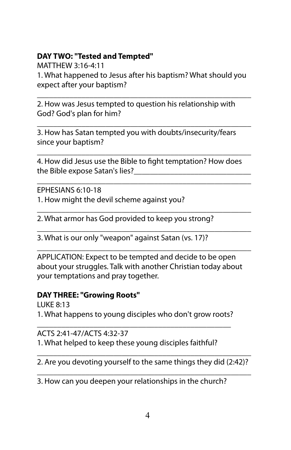## **DAY TWO: "Tested and Tempted"**

MATTHEW 3:16-4:11 1. What happened to Jesus after his baptism? What should you expect after your baptism?

\_\_\_\_\_\_\_\_\_\_\_\_\_\_\_\_\_\_\_\_\_\_\_\_\_\_\_\_\_\_\_\_\_\_\_\_\_\_\_\_\_\_\_\_\_\_\_\_\_\_\_\_\_ 2. How was Jesus tempted to question his relationship with God? God's plan for him?

\_\_\_\_\_\_\_\_\_\_\_\_\_\_\_\_\_\_\_\_\_\_\_\_\_\_\_\_\_\_\_\_\_\_\_\_\_\_\_\_\_\_\_\_\_\_\_\_\_\_\_\_\_ 3. How has Satan tempted you with doubts/insecurity/fears since your baptism?

\_\_\_\_\_\_\_\_\_\_\_\_\_\_\_\_\_\_\_\_\_\_\_\_\_\_\_\_\_\_\_\_\_\_\_\_\_\_\_\_\_\_\_\_\_\_\_\_\_\_\_\_\_ 4. How did Jesus use the Bible to fight temptation? How does the Bible expose Satan's lies?

\_\_\_\_\_\_\_\_\_\_\_\_\_\_\_\_\_\_\_\_\_\_\_\_\_\_\_\_\_\_\_\_\_\_\_\_\_\_\_\_\_\_\_\_\_\_\_\_\_\_\_\_\_ EPHESIANS 6:10-18

1. How might the devil scheme against you?

\_\_\_\_\_\_\_\_\_\_\_\_\_\_\_\_\_\_\_\_\_\_\_\_\_\_\_\_\_\_\_\_\_\_\_\_\_\_\_\_\_\_\_\_\_\_\_\_\_\_\_\_\_ 2. What armor has God provided to keep you strong?

3. What is our only "weapon" against Satan (vs. 17)?

APPLICATION: Expect to be tempted and decide to be open about your struggles. Talk with another Christian today about your temptations and pray together.

\_\_\_\_\_\_\_\_\_\_\_\_\_\_\_\_\_\_\_\_\_\_\_\_\_\_\_\_\_\_\_\_\_\_\_\_\_\_\_\_\_\_\_\_\_\_\_\_\_\_\_\_\_

\_\_\_\_\_\_\_\_\_\_\_\_\_\_\_\_\_\_\_\_\_\_\_\_\_\_\_\_\_\_\_\_\_\_\_\_\_\_\_\_\_\_\_\_\_\_\_\_\_\_\_\_\_

#### **DAY THREE: "Growing Roots"**

LUKE 8:13 1. What happens to young disciples who don't grow roots?

\_\_\_\_\_\_\_\_\_\_\_\_\_\_\_\_\_\_\_\_\_\_\_\_\_\_\_\_\_\_\_\_\_\_\_\_\_\_\_\_\_\_\_\_\_\_\_\_ ACTS 2:41-47/ACTS 4:32-37 1. What helped to keep these young disciples faithful?

\_\_\_\_\_\_\_\_\_\_\_\_\_\_\_\_\_\_\_\_\_\_\_\_\_\_\_\_\_\_\_\_\_\_\_\_\_\_\_\_\_\_\_\_\_\_\_\_\_\_\_\_\_ 2. Are you devoting yourself to the same things they did (2:42)? \_\_\_\_\_\_\_\_\_\_\_\_\_\_\_\_\_\_\_\_\_\_\_\_\_\_\_\_\_\_\_\_\_\_\_\_\_\_\_\_\_\_\_\_\_\_\_\_\_\_\_\_\_

3. How can you deepen your relationships in the church?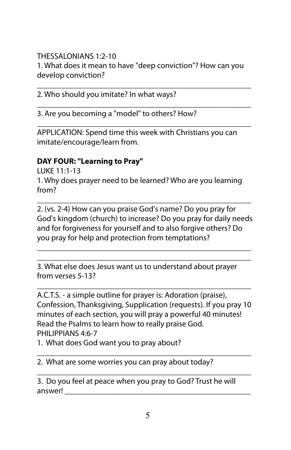THESSALONIANS 1:2-10 1. What does it mean to have "deep conviction"? How can you develop conviction?

\_\_\_\_\_\_\_\_\_\_\_\_\_\_\_\_\_\_\_\_\_\_\_\_\_\_\_\_\_\_\_\_\_\_\_\_\_\_\_\_\_\_\_\_\_\_\_\_\_\_\_\_\_

\_\_\_\_\_\_\_\_\_\_\_\_\_\_\_\_\_\_\_\_\_\_\_\_\_\_\_\_\_\_\_\_\_\_\_\_\_\_\_\_\_\_\_\_\_\_\_\_\_\_\_\_\_

\_\_\_\_\_\_\_\_\_\_\_\_\_\_\_\_\_\_\_\_\_\_\_\_\_\_\_\_\_\_\_\_\_\_\_\_\_\_\_\_\_\_\_\_\_\_\_\_\_\_\_\_\_

2. Who should you imitate? In what ways?

3. Are you becoming a "model" to others? How?

APPLICATION: Spend time this week with Christians you can imitate/encourage/learn from.

### **DAY FOUR: "Learning to Pray"**

LUKE 11:1-13 1. Why does prayer need to be learned? Who are you learning from?

2. (vs. 2-4) How can you praise God's name? Do you pray for God's kingdom (church) to increase? Do you pray for daily needs and for forgiveness for yourself and to also forgive others? Do you pray for help and protection from temptations?

\_\_\_\_\_\_\_\_\_\_\_\_\_\_\_\_\_\_\_\_\_\_\_\_\_\_\_\_\_\_\_\_\_\_\_\_\_\_\_\_\_\_\_\_\_\_\_\_\_\_\_\_\_ \_\_\_\_\_\_\_\_\_\_\_\_\_\_\_\_\_\_\_\_\_\_\_\_\_\_\_\_\_\_\_\_\_\_\_\_\_\_\_\_\_\_\_\_\_\_\_\_\_\_\_\_\_

\_\_\_\_\_\_\_\_\_\_\_\_\_\_\_\_\_\_\_\_\_\_\_\_\_\_\_\_\_\_\_\_\_\_\_\_\_\_\_\_\_\_\_\_\_\_\_\_\_\_\_\_\_

3. What else does Jesus want us to understand about prayer from verses 5-13?

A.C.T.S. - a simple outline for prayer is: Adoration (praise), Confession, Thanksgiving, Supplication (requests). If you pray 10 minutes of each section, you will pray a powerful 40 minutes! Read the Psalms to learn how to really praise God. PHILIPPIANS 4:6-7

\_\_\_\_\_\_\_\_\_\_\_\_\_\_\_\_\_\_\_\_\_\_\_\_\_\_\_\_\_\_\_\_\_\_\_\_\_\_\_\_\_\_\_\_\_\_\_\_\_\_\_\_\_

1. What does God want you to pray about?

\_\_\_\_\_\_\_\_\_\_\_\_\_\_\_\_\_\_\_\_\_\_\_\_\_\_\_\_\_\_\_\_\_\_\_\_\_\_\_\_\_\_\_\_\_\_\_\_\_\_\_\_\_ 2. What are some worries you can pray about today?

3. Do you feel at peace when you pray to God? Trust he will answer!

\_\_\_\_\_\_\_\_\_\_\_\_\_\_\_\_\_\_\_\_\_\_\_\_\_\_\_\_\_\_\_\_\_\_\_\_\_\_\_\_\_\_\_\_\_\_\_\_\_\_\_\_\_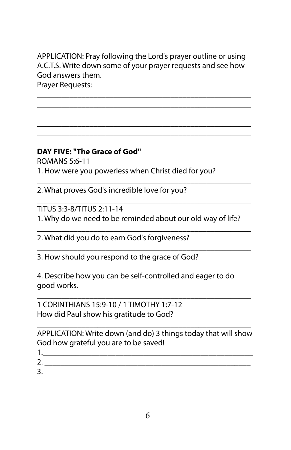APPLICATION: Pray following the Lord's prayer outline or using A.C.T.S. Write down some of your prayer requests and see how God answers them.

\_\_\_\_\_\_\_\_\_\_\_\_\_\_\_\_\_\_\_\_\_\_\_\_\_\_\_\_\_\_\_\_\_\_\_\_\_\_\_\_\_\_\_\_\_\_\_\_\_\_\_\_\_ \_\_\_\_\_\_\_\_\_\_\_\_\_\_\_\_\_\_\_\_\_\_\_\_\_\_\_\_\_\_\_\_\_\_\_\_\_\_\_\_\_\_\_\_\_\_\_\_\_\_\_\_\_ \_\_\_\_\_\_\_\_\_\_\_\_\_\_\_\_\_\_\_\_\_\_\_\_\_\_\_\_\_\_\_\_\_\_\_\_\_\_\_\_\_\_\_\_\_\_\_\_\_\_\_\_\_ \_\_\_\_\_\_\_\_\_\_\_\_\_\_\_\_\_\_\_\_\_\_\_\_\_\_\_\_\_\_\_\_\_\_\_\_\_\_\_\_\_\_\_\_\_\_\_\_\_\_\_\_\_ \_\_\_\_\_\_\_\_\_\_\_\_\_\_\_\_\_\_\_\_\_\_\_\_\_\_\_\_\_\_\_\_\_\_\_\_\_\_\_\_\_\_\_\_\_\_\_\_\_\_\_\_\_

Prayer Requests:

#### **DAY FIVE: "The Grace of God"**

ROMANS 5:6-11 1. How were you powerless when Christ died for you?

2. What proves God's incredible love for you?

\_\_\_\_\_\_\_\_\_\_\_\_\_\_\_\_\_\_\_\_\_\_\_\_\_\_\_\_\_\_\_\_\_\_\_\_\_\_\_\_\_\_\_\_\_\_\_\_\_\_\_\_\_ TITUS 3:3-8/TITUS 2:11-14 1. Why do we need to be reminded about our old way of life?

\_\_\_\_\_\_\_\_\_\_\_\_\_\_\_\_\_\_\_\_\_\_\_\_\_\_\_\_\_\_\_\_\_\_\_\_\_\_\_\_\_\_\_\_\_\_\_\_\_\_\_\_\_

\_\_\_\_\_\_\_\_\_\_\_\_\_\_\_\_\_\_\_\_\_\_\_\_\_\_\_\_\_\_\_\_\_\_\_\_\_\_\_\_\_\_\_\_\_\_\_\_\_\_\_\_\_

\_\_\_\_\_\_\_\_\_\_\_\_\_\_\_\_\_\_\_\_\_\_\_\_\_\_\_\_\_\_\_\_\_\_\_\_\_\_\_\_\_\_\_\_\_\_\_\_\_\_\_\_\_

\_\_\_\_\_\_\_\_\_\_\_\_\_\_\_\_\_\_\_\_\_\_\_\_\_\_\_\_\_\_\_\_\_\_\_\_\_\_\_\_\_\_\_\_\_\_\_\_\_\_\_\_\_

\_\_\_\_\_\_\_\_\_\_\_\_\_\_\_\_\_\_\_\_\_\_\_\_\_\_\_\_\_\_\_\_\_\_\_\_\_\_\_\_\_\_\_\_\_\_\_\_\_\_\_\_\_

2. What did you do to earn God's forgiveness?

3. How should you respond to the grace of God?

4. Describe how you can be self-controlled and eager to do good works.

1 CORINTHIANS 15:9-10 / 1 TIMOTHY 1:7-12 How did Paul show his gratitude to God?

\_\_\_\_\_\_\_\_\_\_\_\_\_\_\_\_\_\_\_\_\_\_\_\_\_\_\_\_\_\_\_\_\_\_\_\_\_\_\_\_\_\_\_\_\_\_\_\_\_\_\_\_\_ APPLICATION: Write down (and do) 3 things today that will show God how grateful you are to be saved!

- 1.\_\_\_\_\_\_\_\_\_\_\_\_\_\_\_\_\_\_\_\_\_\_\_\_\_\_\_\_\_\_\_\_\_\_\_\_\_\_\_\_\_\_\_\_\_\_\_\_\_\_\_\_ 2. \_\_\_\_\_\_\_\_\_\_\_\_\_\_\_\_\_\_\_\_\_\_\_\_\_\_\_\_\_\_\_\_\_\_\_\_\_\_\_\_\_\_\_\_\_\_\_\_\_\_\_
- 3. \_\_\_\_\_\_\_\_\_\_\_\_\_\_\_\_\_\_\_\_\_\_\_\_\_\_\_\_\_\_\_\_\_\_\_\_\_\_\_\_\_\_\_\_\_\_\_\_\_\_\_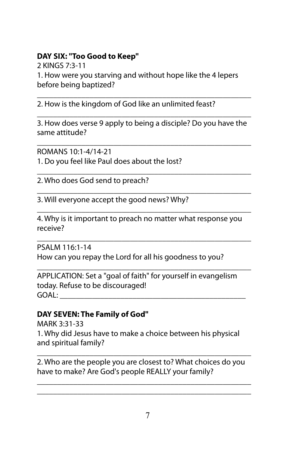## **DAY SIX: "Too Good to Keep"**

2 KINGS 7:3-11 1. How were you starving and without hope like the 4 lepers before being baptized?

\_\_\_\_\_\_\_\_\_\_\_\_\_\_\_\_\_\_\_\_\_\_\_\_\_\_\_\_\_\_\_\_\_\_\_\_\_\_\_\_\_\_\_\_\_\_\_\_\_\_\_\_\_ 2. How is the kingdom of God like an unlimited feast?

\_\_\_\_\_\_\_\_\_\_\_\_\_\_\_\_\_\_\_\_\_\_\_\_\_\_\_\_\_\_\_\_\_\_\_\_\_\_\_\_\_\_\_\_\_\_\_\_\_\_\_\_\_ 3. How does verse 9 apply to being a disciple? Do you have the same attitude?

\_\_\_\_\_\_\_\_\_\_\_\_\_\_\_\_\_\_\_\_\_\_\_\_\_\_\_\_\_\_\_\_\_\_\_\_\_\_\_\_\_\_\_\_\_\_\_\_\_\_\_\_\_

\_\_\_\_\_\_\_\_\_\_\_\_\_\_\_\_\_\_\_\_\_\_\_\_\_\_\_\_\_\_\_\_\_\_\_\_\_\_\_\_\_\_\_\_\_\_\_\_\_\_\_\_\_

\_\_\_\_\_\_\_\_\_\_\_\_\_\_\_\_\_\_\_\_\_\_\_\_\_\_\_\_\_\_\_\_\_\_\_\_\_\_\_\_\_\_\_\_\_\_\_\_\_\_\_\_\_ ROMANS 10:1-4/14-21 1. Do you feel like Paul does about the lost?

2. Who does God send to preach?

3. Will everyone accept the good news? Why?

\_\_\_\_\_\_\_\_\_\_\_\_\_\_\_\_\_\_\_\_\_\_\_\_\_\_\_\_\_\_\_\_\_\_\_\_\_\_\_\_\_\_\_\_\_\_\_\_\_\_\_\_\_ 4. Why is it important to preach no matter what response you receive?

\_\_\_\_\_\_\_\_\_\_\_\_\_\_\_\_\_\_\_\_\_\_\_\_\_\_\_\_\_\_\_\_\_\_\_\_\_\_\_\_\_\_\_\_\_\_\_\_\_\_\_\_\_

PSALM 116:1-14 How can you repay the Lord for all his goodness to you?

\_\_\_\_\_\_\_\_\_\_\_\_\_\_\_\_\_\_\_\_\_\_\_\_\_\_\_\_\_\_\_\_\_\_\_\_\_\_\_\_\_\_\_\_\_\_\_\_\_\_\_\_\_ APPLICATION: Set a "goal of faith" for yourself in evangelism today. Refuse to be discouraged! GOAL: \_\_\_\_\_\_\_\_\_\_\_\_\_\_\_\_\_\_\_\_\_\_\_\_\_\_\_\_\_\_\_\_\_\_\_\_\_\_\_\_\_\_\_\_\_\_

## **DAY SEVEN: The Family of God"**

MARK 3:31-33 1. Why did Jesus have to make a choice between his physical and spiritual family?

\_\_\_\_\_\_\_\_\_\_\_\_\_\_\_\_\_\_\_\_\_\_\_\_\_\_\_\_\_\_\_\_\_\_\_\_\_\_\_\_\_\_\_\_\_\_\_\_\_\_\_\_\_ 2. Who are the people you are closest to? What choices do you have to make? Are God's people REALLY your family?

\_\_\_\_\_\_\_\_\_\_\_\_\_\_\_\_\_\_\_\_\_\_\_\_\_\_\_\_\_\_\_\_\_\_\_\_\_\_\_\_\_\_\_\_\_\_\_\_\_\_\_\_\_ \_\_\_\_\_\_\_\_\_\_\_\_\_\_\_\_\_\_\_\_\_\_\_\_\_\_\_\_\_\_\_\_\_\_\_\_\_\_\_\_\_\_\_\_\_\_\_\_\_\_\_\_\_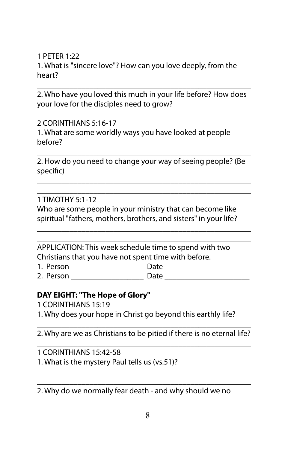1 PETER 1:22 1. What is "sincere love"? How can you love deeply, from the heart?

\_\_\_\_\_\_\_\_\_\_\_\_\_\_\_\_\_\_\_\_\_\_\_\_\_\_\_\_\_\_\_\_\_\_\_\_\_\_\_\_\_\_\_\_\_\_\_\_\_\_\_\_\_ 2. Who have you loved this much in your life before? How does your love for the disciples need to grow?

\_\_\_\_\_\_\_\_\_\_\_\_\_\_\_\_\_\_\_\_\_\_\_\_\_\_\_\_\_\_\_\_\_\_\_\_\_\_\_\_\_\_\_\_\_\_\_\_\_\_\_\_\_

2 CORINTHIANS 5:16-17 1. What are some worldly ways you have looked at people before?

\_\_\_\_\_\_\_\_\_\_\_\_\_\_\_\_\_\_\_\_\_\_\_\_\_\_\_\_\_\_\_\_\_\_\_\_\_\_\_\_\_\_\_\_\_\_\_\_\_\_\_\_\_ 2. How do you need to change your way of seeing people? (Be specific)

\_\_\_\_\_\_\_\_\_\_\_\_\_\_\_\_\_\_\_\_\_\_\_\_\_\_\_\_\_\_\_\_\_\_\_\_\_\_\_\_\_\_\_\_\_\_\_\_\_\_\_\_\_ \_\_\_\_\_\_\_\_\_\_\_\_\_\_\_\_\_\_\_\_\_\_\_\_\_\_\_\_\_\_\_\_\_\_\_\_\_\_\_\_\_\_\_\_\_\_\_\_\_\_\_\_\_

1 TIMOTHY 5:1-12 Who are some people in your ministry that can become like spiritual "fathers, mothers, brothers, and sisters" in your life?

\_\_\_\_\_\_\_\_\_\_\_\_\_\_\_\_\_\_\_\_\_\_\_\_\_\_\_\_\_\_\_\_\_\_\_\_\_\_\_\_\_\_\_\_\_\_\_\_\_\_\_\_\_ \_\_\_\_\_\_\_\_\_\_\_\_\_\_\_\_\_\_\_\_\_\_\_\_\_\_\_\_\_\_\_\_\_\_\_\_\_\_\_\_\_\_\_\_\_\_\_\_\_\_\_\_\_

APPLICATION: This week schedule time to spend with two Christians that you have not spent time with before.

1. Person \_\_\_\_\_\_\_\_\_\_\_\_\_\_\_\_\_\_ Date \_\_\_\_\_\_\_\_\_\_\_\_\_\_\_\_\_\_\_\_\_

2. Person \_\_\_\_\_\_\_\_\_\_\_\_\_\_\_\_\_\_ Date \_\_\_\_\_\_\_\_\_\_\_\_\_\_\_\_\_\_\_\_\_

#### **DAY EIGHT: "The Hope of Glory"**

- 1 CORINTHIANS 15:19
- 1. Why does your hope in Christ go beyond this earthly life?

\_\_\_\_\_\_\_\_\_\_\_\_\_\_\_\_\_\_\_\_\_\_\_\_\_\_\_\_\_\_\_\_\_\_\_\_\_\_\_\_\_\_\_\_\_\_\_\_\_\_\_\_\_ 2. Why are we as Christians to be pitied if there is no eternal life? \_\_\_\_\_\_\_\_\_\_\_\_\_\_\_\_\_\_\_\_\_\_\_\_\_\_\_\_\_\_\_\_\_\_\_\_\_\_\_\_\_\_\_\_\_\_\_\_\_\_\_\_\_

\_\_\_\_\_\_\_\_\_\_\_\_\_\_\_\_\_\_\_\_\_\_\_\_\_\_\_\_\_\_\_\_\_\_\_\_\_\_\_\_\_\_\_\_\_\_\_\_\_\_\_\_\_

1 CORINTHIANS 15:42-58 1. What is the mystery Paul tells us (vs.51)?

\_\_\_\_\_\_\_\_\_\_\_\_\_\_\_\_\_\_\_\_\_\_\_\_\_\_\_\_\_\_\_\_\_\_\_\_\_\_\_\_\_\_\_\_\_\_\_\_\_\_\_\_\_ 2. Why do we normally fear death - and why should we no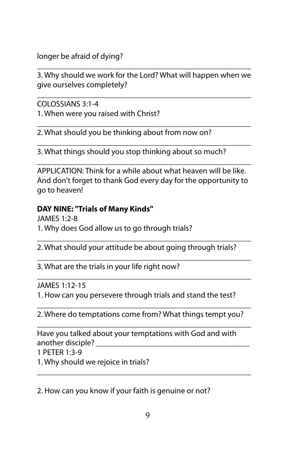longer be afraid of dying?

\_\_\_\_\_\_\_\_\_\_\_\_\_\_\_\_\_\_\_\_\_\_\_\_\_\_\_\_\_\_\_\_\_\_\_\_\_\_\_\_\_\_\_\_\_\_\_\_\_\_\_\_\_ 3. Why should we work for the Lord? What will happen when we give ourselves completely?

\_\_\_\_\_\_\_\_\_\_\_\_\_\_\_\_\_\_\_\_\_\_\_\_\_\_\_\_\_\_\_\_\_\_\_\_\_\_\_\_\_\_\_\_\_\_\_\_\_\_\_\_\_

COLOSSIANS 3:1-4

1. When were you raised with Christ?

\_\_\_\_\_\_\_\_\_\_\_\_\_\_\_\_\_\_\_\_\_\_\_\_\_\_\_\_\_\_\_\_\_\_\_\_\_\_\_\_\_\_\_\_\_\_\_\_\_\_\_\_\_ 2. What should you be thinking about from now on?

\_\_\_\_\_\_\_\_\_\_\_\_\_\_\_\_\_\_\_\_\_\_\_\_\_\_\_\_\_\_\_\_\_\_\_\_\_\_\_\_\_\_\_\_\_\_\_\_\_\_\_\_\_ 3. What things should you stop thinking about so much?

APPLICATION: Think for a while about what heaven will be like. And don't forget to thank God every day for the opportunity to go to heaven!

\_\_\_\_\_\_\_\_\_\_\_\_\_\_\_\_\_\_\_\_\_\_\_\_\_\_\_\_\_\_\_\_\_\_\_\_\_\_\_\_\_\_\_\_\_\_\_\_\_\_\_\_\_

## **DAY NINE: "Trials of Many Kinds"**

JAMES 1:2-8 1. Why does God allow us to go through trials?

\_\_\_\_\_\_\_\_\_\_\_\_\_\_\_\_\_\_\_\_\_\_\_\_\_\_\_\_\_\_\_\_\_\_\_\_\_\_\_\_\_\_\_\_\_\_\_\_\_\_\_\_\_ 2. What should your attitude be about going through trials?

\_\_\_\_\_\_\_\_\_\_\_\_\_\_\_\_\_\_\_\_\_\_\_\_\_\_\_\_\_\_\_\_\_\_\_\_\_\_\_\_\_\_\_\_\_\_\_\_\_\_\_\_\_

\_\_\_\_\_\_\_\_\_\_\_\_\_\_\_\_\_\_\_\_\_\_\_\_\_\_\_\_\_\_\_\_\_\_\_\_\_\_\_\_\_\_\_\_\_\_\_\_\_\_\_\_\_

3. What are the trials in your life right now?

JAMES 1:12-15

1. How can you persevere through trials and stand the test?

\_\_\_\_\_\_\_\_\_\_\_\_\_\_\_\_\_\_\_\_\_\_\_\_\_\_\_\_\_\_\_\_\_\_\_\_\_\_\_\_\_\_\_\_\_\_\_\_\_\_\_\_\_ 2. Where do temptations come from? What things tempt you?

\_\_\_\_\_\_\_\_\_\_\_\_\_\_\_\_\_\_\_\_\_\_\_\_\_\_\_\_\_\_\_\_\_\_\_\_\_\_\_\_\_\_\_\_\_\_\_\_\_\_\_\_\_ Have you talked about your temptations with God and with another disciple?

1 PETER 1:3-9

1. Why should we rejoice in trials?

2. How can you know if your faith is genuine or not?

\_\_\_\_\_\_\_\_\_\_\_\_\_\_\_\_\_\_\_\_\_\_\_\_\_\_\_\_\_\_\_\_\_\_\_\_\_\_\_\_\_\_\_\_\_\_\_\_\_\_\_\_\_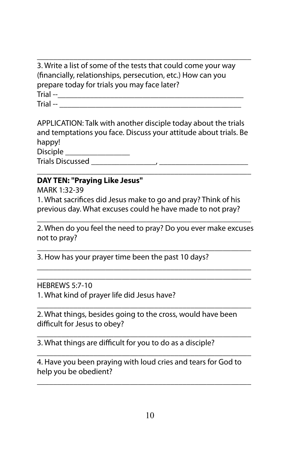\_\_\_\_\_\_\_\_\_\_\_\_\_\_\_\_\_\_\_\_\_\_\_\_\_\_\_\_\_\_\_\_\_\_\_\_\_\_\_\_\_\_\_\_\_\_\_\_\_\_\_\_\_ 3. Write a list of some of the tests that could come your way (financially, relationships, persecution, etc.) How can you prepare today for trials you may face later? Trial --\_\_\_\_\_\_\_\_\_\_\_\_\_\_\_\_\_\_\_\_\_\_\_\_\_\_\_\_\_\_\_\_\_\_\_\_\_\_\_\_\_\_\_\_\_\_  $\text{Trial --} \quad \_\_$ 

APPLICATION: Talk with another disciple today about the trials and temptations you face. Discuss your attitude about trials. Be happy! Disciple Trials Discussed

\_\_\_\_\_\_\_\_\_\_\_\_\_\_\_\_\_\_\_\_\_\_\_\_\_\_\_\_\_\_\_\_\_\_\_\_\_\_\_\_\_\_\_\_\_\_\_\_\_\_\_\_\_

#### **DAY TEN: "Praying Like Jesus"**

MARK 1:32-39

1. What sacrifices did Jesus make to go and pray? Think of his previous day. What excuses could he have made to not pray?

\_\_\_\_\_\_\_\_\_\_\_\_\_\_\_\_\_\_\_\_\_\_\_\_\_\_\_\_\_\_\_\_\_\_\_\_\_\_\_\_\_\_\_\_\_\_\_\_\_\_\_\_\_ 2. When do you feel the need to pray? Do you ever make excuses not to pray?

\_\_\_\_\_\_\_\_\_\_\_\_\_\_\_\_\_\_\_\_\_\_\_\_\_\_\_\_\_\_\_\_\_\_\_\_\_\_\_\_\_\_\_\_\_\_\_\_\_\_\_\_\_

\_\_\_\_\_\_\_\_\_\_\_\_\_\_\_\_\_\_\_\_\_\_\_\_\_\_\_\_\_\_\_\_\_\_\_\_\_\_\_\_\_\_\_\_\_\_\_\_\_\_\_\_\_ \_\_\_\_\_\_\_\_\_\_\_\_\_\_\_\_\_\_\_\_\_\_\_\_\_\_\_\_\_\_\_\_\_\_\_\_\_\_\_\_\_\_\_\_\_\_\_\_\_\_\_\_\_

\_\_\_\_\_\_\_\_\_\_\_\_\_\_\_\_\_\_\_\_\_\_\_\_\_\_\_\_\_\_\_\_\_\_\_\_\_\_\_\_\_\_\_\_\_\_\_\_\_\_\_\_\_

\_\_\_\_\_\_\_\_\_\_\_\_\_\_\_\_\_\_\_\_\_\_\_\_\_\_\_\_\_\_\_\_\_\_\_\_\_\_\_\_\_\_\_\_\_\_\_\_\_\_\_\_\_

\_\_\_\_\_\_\_\_\_\_\_\_\_\_\_\_\_\_\_\_\_\_\_\_\_\_\_\_\_\_\_\_\_\_\_\_\_\_\_\_\_\_\_\_\_\_\_\_\_\_\_\_\_

\_\_\_\_\_\_\_\_\_\_\_\_\_\_\_\_\_\_\_\_\_\_\_\_\_\_\_\_\_\_\_\_\_\_\_\_\_\_\_\_\_\_\_\_\_\_\_\_\_\_\_\_\_

3. How has your prayer time been the past 10 days?

HEBREWS 5:7-10

1. What kind of prayer life did Jesus have?

2. What things, besides going to the cross, would have been difficult for Jesus to obey?

3. What things are difficult for you to do as a disciple?

4. Have you been praying with loud cries and tears for God to help you be obedient?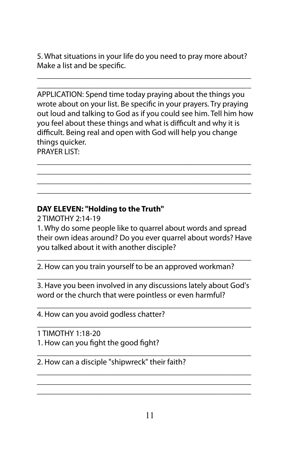5. What situations in your life do you need to pray more about? Make a list and be specific.

\_\_\_\_\_\_\_\_\_\_\_\_\_\_\_\_\_\_\_\_\_\_\_\_\_\_\_\_\_\_\_\_\_\_\_\_\_\_\_\_\_\_\_\_\_\_\_\_\_\_\_\_\_ \_\_\_\_\_\_\_\_\_\_\_\_\_\_\_\_\_\_\_\_\_\_\_\_\_\_\_\_\_\_\_\_\_\_\_\_\_\_\_\_\_\_\_\_\_\_\_\_\_\_\_\_\_

APPLICATION: Spend time today praying about the things you wrote about on your list. Be specific in your prayers. Try praying out loud and talking to God as if you could see him. Tell him how you feel about these things and what is difficult and why it is difficult. Being real and open with God will help you change things quicker. PRAYER LIST:

\_\_\_\_\_\_\_\_\_\_\_\_\_\_\_\_\_\_\_\_\_\_\_\_\_\_\_\_\_\_\_\_\_\_\_\_\_\_\_\_\_\_\_\_\_\_\_\_\_\_\_\_\_ \_\_\_\_\_\_\_\_\_\_\_\_\_\_\_\_\_\_\_\_\_\_\_\_\_\_\_\_\_\_\_\_\_\_\_\_\_\_\_\_\_\_\_\_\_\_\_\_\_\_\_\_\_ \_\_\_\_\_\_\_\_\_\_\_\_\_\_\_\_\_\_\_\_\_\_\_\_\_\_\_\_\_\_\_\_\_\_\_\_\_\_\_\_\_\_\_\_\_\_\_\_\_\_\_\_\_ \_\_\_\_\_\_\_\_\_\_\_\_\_\_\_\_\_\_\_\_\_\_\_\_\_\_\_\_\_\_\_\_\_\_\_\_\_\_\_\_\_\_\_\_\_\_\_\_\_\_\_\_\_

### **DAY ELEVEN: "Holding to the Truth"**

2 TIMOTHY 2:14-19

1. Why do some people like to quarrel about words and spread their own ideas around? Do you ever quarrel about words? Have you talked about it with another disciple?

\_\_\_\_\_\_\_\_\_\_\_\_\_\_\_\_\_\_\_\_\_\_\_\_\_\_\_\_\_\_\_\_\_\_\_\_\_\_\_\_\_\_\_\_\_\_\_\_\_\_\_\_\_

2. How can you train yourself to be an approved workman?

\_\_\_\_\_\_\_\_\_\_\_\_\_\_\_\_\_\_\_\_\_\_\_\_\_\_\_\_\_\_\_\_\_\_\_\_\_\_\_\_\_\_\_\_\_\_\_\_\_\_\_\_\_ 3. Have you been involved in any discussions lately about God's word or the church that were pointless or even harmful?

\_\_\_\_\_\_\_\_\_\_\_\_\_\_\_\_\_\_\_\_\_\_\_\_\_\_\_\_\_\_\_\_\_\_\_\_\_\_\_\_\_\_\_\_\_\_\_\_\_\_\_\_\_

\_\_\_\_\_\_\_\_\_\_\_\_\_\_\_\_\_\_\_\_\_\_\_\_\_\_\_\_\_\_\_\_\_\_\_\_\_\_\_\_\_\_\_\_\_\_\_\_\_\_\_\_\_

\_\_\_\_\_\_\_\_\_\_\_\_\_\_\_\_\_\_\_\_\_\_\_\_\_\_\_\_\_\_\_\_\_\_\_\_\_\_\_\_\_\_\_\_\_\_\_\_\_\_\_\_\_ \_\_\_\_\_\_\_\_\_\_\_\_\_\_\_\_\_\_\_\_\_\_\_\_\_\_\_\_\_\_\_\_\_\_\_\_\_\_\_\_\_\_\_\_\_\_\_\_\_\_\_\_\_ \_\_\_\_\_\_\_\_\_\_\_\_\_\_\_\_\_\_\_\_\_\_\_\_\_\_\_\_\_\_\_\_\_\_\_\_\_\_\_\_\_\_\_\_\_\_\_\_\_\_\_\_\_

4. How can you avoid godless chatter?

1 TIMOTHY 1:18-20 1. How can you fight the good fight?

\_\_\_\_\_\_\_\_\_\_\_\_\_\_\_\_\_\_\_\_\_\_\_\_\_\_\_\_\_\_\_\_\_\_\_\_\_\_\_\_\_\_\_\_\_\_\_\_\_\_\_\_\_ 2. How can a disciple "shipwreck" their faith?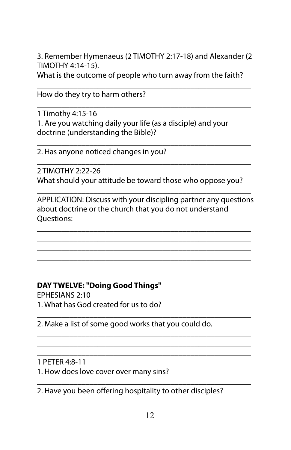3. Remember Hymenaeus (2 TIMOTHY 2:17-18) and Alexander (2 TIMOTHY 4:14-15).

What is the outcome of people who turn away from the faith? \_\_\_\_\_\_\_\_\_\_\_\_\_\_\_\_\_\_\_\_\_\_\_\_\_\_\_\_\_\_\_\_\_\_\_\_\_\_\_\_\_\_\_\_\_\_\_\_\_\_\_\_\_

\_\_\_\_\_\_\_\_\_\_\_\_\_\_\_\_\_\_\_\_\_\_\_\_\_\_\_\_\_\_\_\_\_\_\_\_\_\_\_\_\_\_\_\_\_\_\_\_\_\_\_\_\_

\_\_\_\_\_\_\_\_\_\_\_\_\_\_\_\_\_\_\_\_\_\_\_\_\_\_\_\_\_\_\_\_\_\_\_\_\_\_\_\_\_\_\_\_\_\_\_\_\_\_\_\_\_

\_\_\_\_\_\_\_\_\_\_\_\_\_\_\_\_\_\_\_\_\_\_\_\_\_\_\_\_\_\_\_\_\_\_\_\_\_\_\_\_\_\_\_\_\_\_\_\_\_\_\_\_\_

How do they try to harm others?

1 Timothy 4:15-16 1. Are you watching daily your life (as a disciple) and your doctrine (understanding the Bible)?

2. Has anyone noticed changes in you?

2 TIMOTHY 2:22-26 What should your attitude be toward those who oppose you?

APPLICATION: Discuss with your discipling partner any questions about doctrine or the church that you do not understand Questions:

\_\_\_\_\_\_\_\_\_\_\_\_\_\_\_\_\_\_\_\_\_\_\_\_\_\_\_\_\_\_\_\_\_\_\_\_\_\_\_\_\_\_\_\_\_\_\_\_\_\_\_\_\_ \_\_\_\_\_\_\_\_\_\_\_\_\_\_\_\_\_\_\_\_\_\_\_\_\_\_\_\_\_\_\_\_\_\_\_\_\_\_\_\_\_\_\_\_\_\_\_\_\_\_\_\_\_ \_\_\_\_\_\_\_\_\_\_\_\_\_\_\_\_\_\_\_\_\_\_\_\_\_\_\_\_\_\_\_\_\_\_\_\_\_\_\_\_\_\_\_\_\_\_\_\_\_\_\_\_\_ \_\_\_\_\_\_\_\_\_\_\_\_\_\_\_\_\_\_\_\_\_\_\_\_\_\_\_\_\_\_\_\_\_\_\_\_\_\_\_\_\_\_\_\_\_\_\_\_\_\_\_\_\_

\_\_\_\_\_\_\_\_\_\_\_\_\_\_\_\_\_\_\_\_\_\_\_\_\_\_\_\_\_\_\_\_\_\_\_\_\_\_\_\_\_\_\_\_\_\_\_\_\_\_\_\_\_

**DAY TWELVE: "Doing Good Things"** 

\_\_\_\_\_\_\_\_\_\_\_\_\_\_\_\_\_\_\_\_\_\_\_\_\_\_\_\_\_\_\_\_\_

EPHESIANS 2:10 1. What has God created for us to do?

\_\_\_\_\_\_\_\_\_\_\_\_\_\_\_\_\_\_\_\_\_\_\_\_\_\_\_\_\_\_\_\_\_\_\_\_\_\_\_\_\_\_\_\_\_\_\_\_\_\_\_\_\_ 2. Make a list of some good works that you could do.

\_\_\_\_\_\_\_\_\_\_\_\_\_\_\_\_\_\_\_\_\_\_\_\_\_\_\_\_\_\_\_\_\_\_\_\_\_\_\_\_\_\_\_\_\_\_\_\_\_\_\_\_\_ \_\_\_\_\_\_\_\_\_\_\_\_\_\_\_\_\_\_\_\_\_\_\_\_\_\_\_\_\_\_\_\_\_\_\_\_\_\_\_\_\_\_\_\_\_\_\_\_\_\_\_\_\_ \_\_\_\_\_\_\_\_\_\_\_\_\_\_\_\_\_\_\_\_\_\_\_\_\_\_\_\_\_\_\_\_\_\_\_\_\_\_\_\_\_\_\_\_\_\_\_\_\_\_\_\_\_

1 PETER 4:8-11

1. How does love cover over many sins?

\_\_\_\_\_\_\_\_\_\_\_\_\_\_\_\_\_\_\_\_\_\_\_\_\_\_\_\_\_\_\_\_\_\_\_\_\_\_\_\_\_\_\_\_\_\_\_\_\_\_\_\_\_ 2. Have you been offering hospitality to other disciples?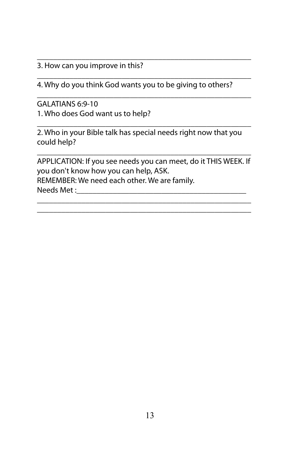#### 3. How can you improve in this?

4. Why do you think God wants you to be giving to others?

\_\_\_\_\_\_\_\_\_\_\_\_\_\_\_\_\_\_\_\_\_\_\_\_\_\_\_\_\_\_\_\_\_\_\_\_\_\_\_\_\_\_\_\_\_\_\_\_\_\_\_\_\_

\_\_\_\_\_\_\_\_\_\_\_\_\_\_\_\_\_\_\_\_\_\_\_\_\_\_\_\_\_\_\_\_\_\_\_\_\_\_\_\_\_\_\_\_\_\_\_\_\_\_\_\_\_

\_\_\_\_\_\_\_\_\_\_\_\_\_\_\_\_\_\_\_\_\_\_\_\_\_\_\_\_\_\_\_\_\_\_\_\_\_\_\_\_\_\_\_\_\_\_\_\_\_\_\_\_\_

GALATIANS 6:9-10 1. Who does God want us to help?

\_\_\_\_\_\_\_\_\_\_\_\_\_\_\_\_\_\_\_\_\_\_\_\_\_\_\_\_\_\_\_\_\_\_\_\_\_\_\_\_\_\_\_\_\_\_\_\_\_\_\_\_\_ 2. Who in your Bible talk has special needs right now that you could help?

\_\_\_\_\_\_\_\_\_\_\_\_\_\_\_\_\_\_\_\_\_\_\_\_\_\_\_\_\_\_\_\_\_\_\_\_\_\_\_\_\_\_\_\_\_\_\_\_\_\_\_\_\_ APPLICATION: If you see needs you can meet, do it THIS WEEK. If you don't know how you can help, ASK. REMEMBER: We need each other. We are family. Needs Met :

\_\_\_\_\_\_\_\_\_\_\_\_\_\_\_\_\_\_\_\_\_\_\_\_\_\_\_\_\_\_\_\_\_\_\_\_\_\_\_\_\_\_\_\_\_\_\_\_\_\_\_\_\_ \_\_\_\_\_\_\_\_\_\_\_\_\_\_\_\_\_\_\_\_\_\_\_\_\_\_\_\_\_\_\_\_\_\_\_\_\_\_\_\_\_\_\_\_\_\_\_\_\_\_\_\_\_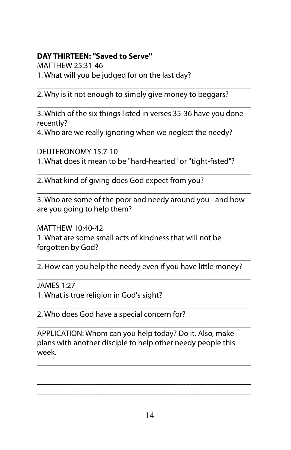## **DAY THIRTEEN: "Saved to Serve"**

MATTHEW 25:31-46 1. What will you be judged for on the last day?

\_\_\_\_\_\_\_\_\_\_\_\_\_\_\_\_\_\_\_\_\_\_\_\_\_\_\_\_\_\_\_\_\_\_\_\_\_\_\_\_\_\_\_\_\_\_\_\_\_\_\_\_\_ 2. Why is it not enough to simply give money to beggars?

3. Which of the six things listed in verses 35-36 have you done recently?

\_\_\_\_\_\_\_\_\_\_\_\_\_\_\_\_\_\_\_\_\_\_\_\_\_\_\_\_\_\_\_\_\_\_\_\_\_\_\_\_\_\_\_\_\_\_\_\_\_\_\_\_\_

4. Who are we really ignoring when we neglect the needy?

DEUTERONOMY 15:7-10 1. What does it mean to be "hard-hearted" or "tight-fisted"?

\_\_\_\_\_\_\_\_\_\_\_\_\_\_\_\_\_\_\_\_\_\_\_\_\_\_\_\_\_\_\_\_\_\_\_\_\_\_\_\_\_\_\_\_\_\_\_\_\_\_\_\_\_ 2. What kind of giving does God expect from you?

\_\_\_\_\_\_\_\_\_\_\_\_\_\_\_\_\_\_\_\_\_\_\_\_\_\_\_\_\_\_\_\_\_\_\_\_\_\_\_\_\_\_\_\_\_\_\_\_\_\_\_\_\_ 3. Who are some of the poor and needy around you - and how are you going to help them?

\_\_\_\_\_\_\_\_\_\_\_\_\_\_\_\_\_\_\_\_\_\_\_\_\_\_\_\_\_\_\_\_\_\_\_\_\_\_\_\_\_\_\_\_\_\_\_\_\_\_\_\_\_

MATTHEW 10:40-42

1. What are some small acts of kindness that will not be forgotten by God?

\_\_\_\_\_\_\_\_\_\_\_\_\_\_\_\_\_\_\_\_\_\_\_\_\_\_\_\_\_\_\_\_\_\_\_\_\_\_\_\_\_\_\_\_\_\_\_\_\_\_\_\_\_ 2. How can you help the needy even if you have little money? \_\_\_\_\_\_\_\_\_\_\_\_\_\_\_\_\_\_\_\_\_\_\_\_\_\_\_\_\_\_\_\_\_\_\_\_\_\_\_\_\_\_\_\_\_\_\_\_\_\_\_\_\_

JAMES 1:27

1. What is true religion in God's sight?

\_\_\_\_\_\_\_\_\_\_\_\_\_\_\_\_\_\_\_\_\_\_\_\_\_\_\_\_\_\_\_\_\_\_\_\_\_\_\_\_\_\_\_\_\_\_\_\_\_\_\_\_\_ 2. Who does God have a special concern for?

APPLICATION: Whom can you help today? Do it. Also, make plans with another disciple to help other needy people this week.

\_\_\_\_\_\_\_\_\_\_\_\_\_\_\_\_\_\_\_\_\_\_\_\_\_\_\_\_\_\_\_\_\_\_\_\_\_\_\_\_\_\_\_\_\_\_\_\_\_\_\_\_\_

\_\_\_\_\_\_\_\_\_\_\_\_\_\_\_\_\_\_\_\_\_\_\_\_\_\_\_\_\_\_\_\_\_\_\_\_\_\_\_\_\_\_\_\_\_\_\_\_\_\_\_\_\_ \_\_\_\_\_\_\_\_\_\_\_\_\_\_\_\_\_\_\_\_\_\_\_\_\_\_\_\_\_\_\_\_\_\_\_\_\_\_\_\_\_\_\_\_\_\_\_\_\_\_\_\_\_ \_\_\_\_\_\_\_\_\_\_\_\_\_\_\_\_\_\_\_\_\_\_\_\_\_\_\_\_\_\_\_\_\_\_\_\_\_\_\_\_\_\_\_\_\_\_\_\_\_\_\_\_\_ \_\_\_\_\_\_\_\_\_\_\_\_\_\_\_\_\_\_\_\_\_\_\_\_\_\_\_\_\_\_\_\_\_\_\_\_\_\_\_\_\_\_\_\_\_\_\_\_\_\_\_\_\_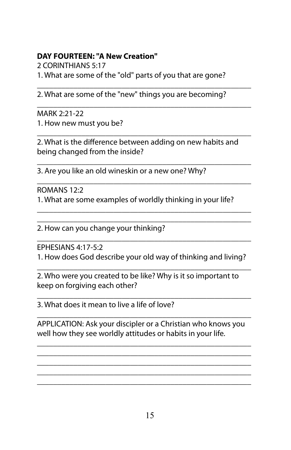#### **DAY FOURTEEN: "A New Creation"**

2 CORINTHIANS 5:17

1. What are some of the "old" parts of you that are gone?

2. What are some of the "new" things you are becoming?

\_\_\_\_\_\_\_\_\_\_\_\_\_\_\_\_\_\_\_\_\_\_\_\_\_\_\_\_\_\_\_\_\_\_\_\_\_\_\_\_\_\_\_\_\_\_\_\_\_\_\_\_\_

\_\_\_\_\_\_\_\_\_\_\_\_\_\_\_\_\_\_\_\_\_\_\_\_\_\_\_\_\_\_\_\_\_\_\_\_\_\_\_\_\_\_\_\_\_\_\_\_\_\_\_\_\_

MARK 2:21-22 1. How new must you be?

\_\_\_\_\_\_\_\_\_\_\_\_\_\_\_\_\_\_\_\_\_\_\_\_\_\_\_\_\_\_\_\_\_\_\_\_\_\_\_\_\_\_\_\_\_\_\_\_\_\_\_\_\_ 2. What is the difference between adding on new habits and being changed from the inside?

\_\_\_\_\_\_\_\_\_\_\_\_\_\_\_\_\_\_\_\_\_\_\_\_\_\_\_\_\_\_\_\_\_\_\_\_\_\_\_\_\_\_\_\_\_\_\_\_\_\_\_\_\_

\_\_\_\_\_\_\_\_\_\_\_\_\_\_\_\_\_\_\_\_\_\_\_\_\_\_\_\_\_\_\_\_\_\_\_\_\_\_\_\_\_\_\_\_\_\_\_\_\_\_\_\_\_ \_\_\_\_\_\_\_\_\_\_\_\_\_\_\_\_\_\_\_\_\_\_\_\_\_\_\_\_\_\_\_\_\_\_\_\_\_\_\_\_\_\_\_\_\_\_\_\_\_\_\_\_\_

3. Are you like an old wineskin or a new one? Why?

\_\_\_\_\_\_\_\_\_\_\_\_\_\_\_\_\_\_\_\_\_\_\_\_\_\_\_\_\_\_\_\_\_\_\_\_\_\_\_\_\_\_\_\_\_\_\_\_\_\_\_\_\_ ROMANS 12:2 1. What are some examples of worldly thinking in your life?

2. How can you change your thinking?

\_\_\_\_\_\_\_\_\_\_\_\_\_\_\_\_\_\_\_\_\_\_\_\_\_\_\_\_\_\_\_\_\_\_\_\_\_\_\_\_\_\_\_\_\_\_\_\_\_\_\_\_\_ EPHESIANS 4:17-5:2

1. How does God describe your old way of thinking and living?

\_\_\_\_\_\_\_\_\_\_\_\_\_\_\_\_\_\_\_\_\_\_\_\_\_\_\_\_\_\_\_\_\_\_\_\_\_\_\_\_\_\_\_\_\_\_\_\_\_\_\_\_\_ 2. Who were you created to be like? Why is it so important to keep on forgiving each other?

\_\_\_\_\_\_\_\_\_\_\_\_\_\_\_\_\_\_\_\_\_\_\_\_\_\_\_\_\_\_\_\_\_\_\_\_\_\_\_\_\_\_\_\_\_\_\_\_\_\_\_\_\_ 3. What does it mean to live a life of love?

\_\_\_\_\_\_\_\_\_\_\_\_\_\_\_\_\_\_\_\_\_\_\_\_\_\_\_\_\_\_\_\_\_\_\_\_\_\_\_\_\_\_\_\_\_\_\_\_\_\_\_\_\_ APPLICATION: Ask your discipler or a Christian who knows you well how they see worldly attitudes or habits in your life.

\_\_\_\_\_\_\_\_\_\_\_\_\_\_\_\_\_\_\_\_\_\_\_\_\_\_\_\_\_\_\_\_\_\_\_\_\_\_\_\_\_\_\_\_\_\_\_\_\_\_\_\_\_ \_\_\_\_\_\_\_\_\_\_\_\_\_\_\_\_\_\_\_\_\_\_\_\_\_\_\_\_\_\_\_\_\_\_\_\_\_\_\_\_\_\_\_\_\_\_\_\_\_\_\_\_\_ \_\_\_\_\_\_\_\_\_\_\_\_\_\_\_\_\_\_\_\_\_\_\_\_\_\_\_\_\_\_\_\_\_\_\_\_\_\_\_\_\_\_\_\_\_\_\_\_\_\_\_\_\_ \_\_\_\_\_\_\_\_\_\_\_\_\_\_\_\_\_\_\_\_\_\_\_\_\_\_\_\_\_\_\_\_\_\_\_\_\_\_\_\_\_\_\_\_\_\_\_\_\_\_\_\_\_ \_\_\_\_\_\_\_\_\_\_\_\_\_\_\_\_\_\_\_\_\_\_\_\_\_\_\_\_\_\_\_\_\_\_\_\_\_\_\_\_\_\_\_\_\_\_\_\_\_\_\_\_\_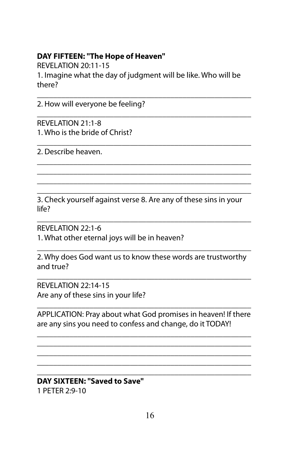#### **DAY FIFTEEN: "The Hope of Heaven"**

REVELATION 20:11-15 1. Imagine what the day of judgment will be like. Who will be there?

\_\_\_\_\_\_\_\_\_\_\_\_\_\_\_\_\_\_\_\_\_\_\_\_\_\_\_\_\_\_\_\_\_\_\_\_\_\_\_\_\_\_\_\_\_\_\_\_\_\_\_\_\_

\_\_\_\_\_\_\_\_\_\_\_\_\_\_\_\_\_\_\_\_\_\_\_\_\_\_\_\_\_\_\_\_\_\_\_\_\_\_\_\_\_\_\_\_\_\_\_\_\_\_\_\_\_

\_\_\_\_\_\_\_\_\_\_\_\_\_\_\_\_\_\_\_\_\_\_\_\_\_\_\_\_\_\_\_\_\_\_\_\_\_\_\_\_\_\_\_\_\_\_\_\_\_\_\_\_\_

\_\_\_\_\_\_\_\_\_\_\_\_\_\_\_\_\_\_\_\_\_\_\_\_\_\_\_\_\_\_\_\_\_\_\_\_\_\_\_\_\_\_\_\_\_\_\_\_\_\_\_\_\_ \_\_\_\_\_\_\_\_\_\_\_\_\_\_\_\_\_\_\_\_\_\_\_\_\_\_\_\_\_\_\_\_\_\_\_\_\_\_\_\_\_\_\_\_\_\_\_\_\_\_\_\_\_ \_\_\_\_\_\_\_\_\_\_\_\_\_\_\_\_\_\_\_\_\_\_\_\_\_\_\_\_\_\_\_\_\_\_\_\_\_\_\_\_\_\_\_\_\_\_\_\_\_\_\_\_\_ \_\_\_\_\_\_\_\_\_\_\_\_\_\_\_\_\_\_\_\_\_\_\_\_\_\_\_\_\_\_\_\_\_\_\_\_\_\_\_\_\_\_\_\_\_\_\_\_\_\_\_\_\_

2. How will everyone be feeling?

REVELATION 21:1-8 1. Who is the bride of Christ?

2. Describe heaven.

3. Check yourself against verse 8. Are any of these sins in your life?

\_\_\_\_\_\_\_\_\_\_\_\_\_\_\_\_\_\_\_\_\_\_\_\_\_\_\_\_\_\_\_\_\_\_\_\_\_\_\_\_\_\_\_\_\_\_\_\_\_\_\_\_\_

REVELATION 22:1-6 1. What other eternal joys will be in heaven?

\_\_\_\_\_\_\_\_\_\_\_\_\_\_\_\_\_\_\_\_\_\_\_\_\_\_\_\_\_\_\_\_\_\_\_\_\_\_\_\_\_\_\_\_\_\_\_\_\_\_\_\_\_ 2. Why does God want us to know these words are trustworthy and true?

\_\_\_\_\_\_\_\_\_\_\_\_\_\_\_\_\_\_\_\_\_\_\_\_\_\_\_\_\_\_\_\_\_\_\_\_\_\_\_\_\_\_\_\_\_\_\_\_\_\_\_\_\_

REVELATION 22:14-15 Are any of these sins in your life?

\_\_\_\_\_\_\_\_\_\_\_\_\_\_\_\_\_\_\_\_\_\_\_\_\_\_\_\_\_\_\_\_\_\_\_\_\_\_\_\_\_\_\_\_\_\_\_\_\_\_\_\_\_ APPLICATION: Pray about what God promises in heaven! If there are any sins you need to confess and change, do it TODAY!

\_\_\_\_\_\_\_\_\_\_\_\_\_\_\_\_\_\_\_\_\_\_\_\_\_\_\_\_\_\_\_\_\_\_\_\_\_\_\_\_\_\_\_\_\_\_\_\_\_\_\_\_\_ \_\_\_\_\_\_\_\_\_\_\_\_\_\_\_\_\_\_\_\_\_\_\_\_\_\_\_\_\_\_\_\_\_\_\_\_\_\_\_\_\_\_\_\_\_\_\_\_\_\_\_\_\_ \_\_\_\_\_\_\_\_\_\_\_\_\_\_\_\_\_\_\_\_\_\_\_\_\_\_\_\_\_\_\_\_\_\_\_\_\_\_\_\_\_\_\_\_\_\_\_\_\_\_\_\_\_ \_\_\_\_\_\_\_\_\_\_\_\_\_\_\_\_\_\_\_\_\_\_\_\_\_\_\_\_\_\_\_\_\_\_\_\_\_\_\_\_\_\_\_\_\_\_\_\_\_\_\_\_\_ \_\_\_\_\_\_\_\_\_\_\_\_\_\_\_\_\_\_\_\_\_\_\_\_\_\_\_\_\_\_\_\_\_\_\_\_\_\_\_\_\_\_\_\_\_\_\_\_\_\_\_\_\_

#### **DAY SIXTEEN: "Saved to Save"**  1 PETER 2:9-10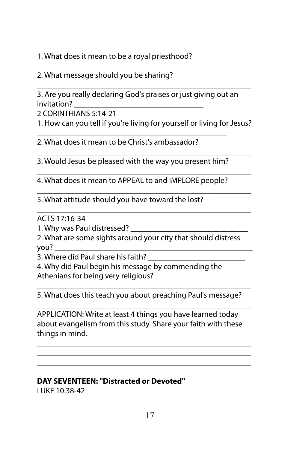1. What does it mean to be a royal priesthood?

\_\_\_\_\_\_\_\_\_\_\_\_\_\_\_\_\_\_\_\_\_\_\_\_\_\_\_\_\_\_\_\_\_\_\_\_\_\_\_\_\_\_\_\_\_\_\_\_\_\_\_\_\_ 2. What message should you be sharing?

\_\_\_\_\_\_\_\_\_\_\_\_\_\_\_\_\_\_\_\_\_\_\_\_\_\_\_\_\_\_\_\_\_\_\_\_\_\_\_\_\_\_\_\_\_\_\_\_\_\_\_\_\_ 3. Are you really declaring God's praises or just giving out an invitation?

2 CORINTHIANS 5:14-21

1. How can you tell if you're living for yourself or living for Jesus?

2. What does it mean to be Christ's ambassador?

\_\_\_\_\_\_\_\_\_\_\_\_\_\_\_\_\_\_\_\_\_\_\_\_\_\_\_\_\_\_\_\_\_\_\_\_\_\_\_\_\_\_\_\_\_\_\_\_\_\_\_\_\_ 3. Would Jesus be pleased with the way you present him?

\_\_\_\_\_\_\_\_\_\_\_\_\_\_\_\_\_\_\_\_\_\_\_\_\_\_\_\_\_\_\_\_\_\_\_\_\_\_\_\_\_\_\_\_\_\_\_

\_\_\_\_\_\_\_\_\_\_\_\_\_\_\_\_\_\_\_\_\_\_\_\_\_\_\_\_\_\_\_\_\_\_\_\_\_\_\_\_\_\_\_\_\_\_\_\_\_\_\_\_\_ 4. What does it mean to APPEAL to and IMPLORE people?

\_\_\_\_\_\_\_\_\_\_\_\_\_\_\_\_\_\_\_\_\_\_\_\_\_\_\_\_\_\_\_\_\_\_\_\_\_\_\_\_\_\_\_\_\_\_\_\_\_\_\_\_\_

\_\_\_\_\_\_\_\_\_\_\_\_\_\_\_\_\_\_\_\_\_\_\_\_\_\_\_\_\_\_\_\_\_\_\_\_\_\_\_\_\_\_\_\_\_\_\_\_\_\_\_\_\_

5. What attitude should you have toward the lost?

ACTS 17:16-34

1. Why was Paul distressed?

2. What are some sights around your city that should distress you? \_\_\_\_\_\_\_\_\_\_\_\_\_\_\_\_\_\_\_\_\_\_\_\_\_\_\_\_\_\_\_\_\_\_\_\_\_\_\_\_\_\_\_\_\_\_\_\_\_

3. Where did Paul share his faith?

4. Why did Paul begin his message by commending the Athenians for being very religious?

\_\_\_\_\_\_\_\_\_\_\_\_\_\_\_\_\_\_\_\_\_\_\_\_\_\_\_\_\_\_\_\_\_\_\_\_\_\_\_\_\_\_\_\_\_\_\_\_\_\_\_\_\_ 5. What does this teach you about preaching Paul's message? \_\_\_\_\_\_\_\_\_\_\_\_\_\_\_\_\_\_\_\_\_\_\_\_\_\_\_\_\_\_\_\_\_\_\_\_\_\_\_\_\_\_\_\_\_\_\_\_\_\_\_\_\_

APPLICATION: Write at least 4 things you have learned today about evangelism from this study. Share your faith with these things in mind.

\_\_\_\_\_\_\_\_\_\_\_\_\_\_\_\_\_\_\_\_\_\_\_\_\_\_\_\_\_\_\_\_\_\_\_\_\_\_\_\_\_\_\_\_\_\_\_\_\_\_\_\_\_ \_\_\_\_\_\_\_\_\_\_\_\_\_\_\_\_\_\_\_\_\_\_\_\_\_\_\_\_\_\_\_\_\_\_\_\_\_\_\_\_\_\_\_\_\_\_\_\_\_\_\_\_\_ \_\_\_\_\_\_\_\_\_\_\_\_\_\_\_\_\_\_\_\_\_\_\_\_\_\_\_\_\_\_\_\_\_\_\_\_\_\_\_\_\_\_\_\_\_\_\_\_\_\_\_\_\_

#### \_\_\_\_\_\_\_\_\_\_\_\_\_\_\_\_\_\_\_\_\_\_\_\_\_\_\_\_\_\_\_\_\_\_\_\_\_\_\_\_\_\_\_\_\_\_\_\_\_\_\_\_\_ **DAY SEVENTEEN: "Distracted or Devoted"**  LUKE 10:38-42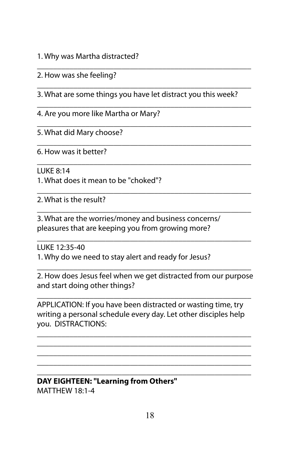1. Why was Martha distracted?

2. How was she feeling?

\_\_\_\_\_\_\_\_\_\_\_\_\_\_\_\_\_\_\_\_\_\_\_\_\_\_\_\_\_\_\_\_\_\_\_\_\_\_\_\_\_\_\_\_\_\_\_\_\_\_\_\_\_ 3. What are some things you have let distract you this week?

\_\_\_\_\_\_\_\_\_\_\_\_\_\_\_\_\_\_\_\_\_\_\_\_\_\_\_\_\_\_\_\_\_\_\_\_\_\_\_\_\_\_\_\_\_\_\_\_\_\_\_\_\_

\_\_\_\_\_\_\_\_\_\_\_\_\_\_\_\_\_\_\_\_\_\_\_\_\_\_\_\_\_\_\_\_\_\_\_\_\_\_\_\_\_\_\_\_\_\_\_\_\_\_\_\_\_

\_\_\_\_\_\_\_\_\_\_\_\_\_\_\_\_\_\_\_\_\_\_\_\_\_\_\_\_\_\_\_\_\_\_\_\_\_\_\_\_\_\_\_\_\_\_\_\_\_\_\_\_\_

\_\_\_\_\_\_\_\_\_\_\_\_\_\_\_\_\_\_\_\_\_\_\_\_\_\_\_\_\_\_\_\_\_\_\_\_\_\_\_\_\_\_\_\_\_\_\_\_\_\_\_\_\_

\_\_\_\_\_\_\_\_\_\_\_\_\_\_\_\_\_\_\_\_\_\_\_\_\_\_\_\_\_\_\_\_\_\_\_\_\_\_\_\_\_\_\_\_\_\_\_\_\_\_\_\_\_

\_\_\_\_\_\_\_\_\_\_\_\_\_\_\_\_\_\_\_\_\_\_\_\_\_\_\_\_\_\_\_\_\_\_\_\_\_\_\_\_\_\_\_\_\_\_\_\_\_\_\_\_\_

\_\_\_\_\_\_\_\_\_\_\_\_\_\_\_\_\_\_\_\_\_\_\_\_\_\_\_\_\_\_\_\_\_\_\_\_\_\_\_\_\_\_\_\_\_\_\_\_\_\_\_\_\_

4. Are you more like Martha or Mary?

\_\_\_\_\_\_\_\_\_\_\_\_\_\_\_\_\_\_\_\_\_\_\_\_\_\_\_\_\_\_\_\_\_\_\_\_\_\_\_\_\_\_\_\_\_\_\_\_\_\_\_\_\_ 5. What did Mary choose?

6. How was it better?

LUKE 8:14

1. What does it mean to be "choked"?

2. What is the result?

3. What are the worries/money and business concerns/ pleasures that are keeping you from growing more?

LUKE 12:35-40

1. Why do we need to stay alert and ready for Jesus?

\_\_\_\_\_\_\_\_\_\_\_\_\_\_\_\_\_\_\_\_\_\_\_\_\_\_\_\_\_\_\_\_\_\_\_\_\_\_\_\_\_\_\_\_\_\_\_\_\_\_\_\_\_ 2. How does Jesus feel when we get distracted from our purpose and start doing other things?

\_\_\_\_\_\_\_\_\_\_\_\_\_\_\_\_\_\_\_\_\_\_\_\_\_\_\_\_\_\_\_\_\_\_\_\_\_\_\_\_\_\_\_\_\_\_\_\_\_\_\_\_\_

APPLICATION: If you have been distracted or wasting time, try writing a personal schedule every day. Let other disciples help you. DISTRACTIONS:

\_\_\_\_\_\_\_\_\_\_\_\_\_\_\_\_\_\_\_\_\_\_\_\_\_\_\_\_\_\_\_\_\_\_\_\_\_\_\_\_\_\_\_\_\_\_\_\_\_\_\_\_\_ \_\_\_\_\_\_\_\_\_\_\_\_\_\_\_\_\_\_\_\_\_\_\_\_\_\_\_\_\_\_\_\_\_\_\_\_\_\_\_\_\_\_\_\_\_\_\_\_\_\_\_\_\_ \_\_\_\_\_\_\_\_\_\_\_\_\_\_\_\_\_\_\_\_\_\_\_\_\_\_\_\_\_\_\_\_\_\_\_\_\_\_\_\_\_\_\_\_\_\_\_\_\_\_\_\_\_ \_\_\_\_\_\_\_\_\_\_\_\_\_\_\_\_\_\_\_\_\_\_\_\_\_\_\_\_\_\_\_\_\_\_\_\_\_\_\_\_\_\_\_\_\_\_\_\_\_\_\_\_\_

#### \_\_\_\_\_\_\_\_\_\_\_\_\_\_\_\_\_\_\_\_\_\_\_\_\_\_\_\_\_\_\_\_\_\_\_\_\_\_\_\_\_\_\_\_\_\_\_\_\_\_\_\_\_ **DAY EIGHTEEN: "Learning from Others"** MATTHEW 18:1-4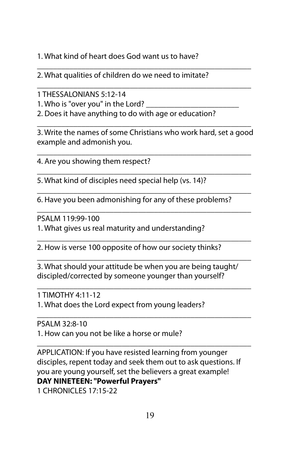1. What kind of heart does God want us to have?

\_\_\_\_\_\_\_\_\_\_\_\_\_\_\_\_\_\_\_\_\_\_\_\_\_\_\_\_\_\_\_\_\_\_\_\_\_\_\_\_\_\_\_\_\_\_\_\_\_\_\_\_\_ 2. What qualities of children do we need to imitate?

1 THESSALONIANS 5:12-14

1. Who is "over you" in the Lord?

2. Does it have anything to do with age or education?

\_\_\_\_\_\_\_\_\_\_\_\_\_\_\_\_\_\_\_\_\_\_\_\_\_\_\_\_\_\_\_\_\_\_\_\_\_\_\_\_\_\_\_\_\_\_\_\_\_\_\_\_\_ 3. Write the names of some Christians who work hard, set a good example and admonish you.

\_\_\_\_\_\_\_\_\_\_\_\_\_\_\_\_\_\_\_\_\_\_\_\_\_\_\_\_\_\_\_\_\_\_\_\_\_\_\_\_\_\_\_\_\_\_\_\_\_\_\_\_\_

\_\_\_\_\_\_\_\_\_\_\_\_\_\_\_\_\_\_\_\_\_\_\_\_\_\_\_\_\_\_\_\_\_\_\_\_\_\_\_\_\_\_\_\_\_\_\_\_\_\_\_\_\_

\_\_\_\_\_\_\_\_\_\_\_\_\_\_\_\_\_\_\_\_\_\_\_\_\_\_\_\_\_\_\_\_\_\_\_\_\_\_\_\_\_\_\_\_\_\_\_\_\_\_\_\_\_

\_\_\_\_\_\_\_\_\_\_\_\_\_\_\_\_\_\_\_\_\_\_\_\_\_\_\_\_\_\_\_\_\_\_\_\_\_\_\_\_\_\_\_\_\_\_\_\_\_\_\_\_\_ 4. Are you showing them respect?

5. What kind of disciples need special help (vs. 14)?

6. Have you been admonishing for any of these problems?

\_\_\_\_\_\_\_\_\_\_\_\_\_\_\_\_\_\_\_\_\_\_\_\_\_\_\_\_\_\_\_\_\_\_\_\_\_\_\_\_\_\_\_\_\_\_\_\_\_\_\_\_\_ PSALM 119:99-100

1. What gives us real maturity and understanding?

\_\_\_\_\_\_\_\_\_\_\_\_\_\_\_\_\_\_\_\_\_\_\_\_\_\_\_\_\_\_\_\_\_\_\_\_\_\_\_\_\_\_\_\_\_\_\_\_\_\_\_\_\_ 2. How is verse 100 opposite of how our society thinks?

3. What should your attitude be when you are being taught/ discipled/corrected by someone younger than yourself?

\_\_\_\_\_\_\_\_\_\_\_\_\_\_\_\_\_\_\_\_\_\_\_\_\_\_\_\_\_\_\_\_\_\_\_\_\_\_\_\_\_\_\_\_\_\_\_\_\_\_\_\_\_

\_\_\_\_\_\_\_\_\_\_\_\_\_\_\_\_\_\_\_\_\_\_\_\_\_\_\_\_\_\_\_\_\_\_\_\_\_\_\_\_\_\_\_\_\_\_\_\_\_\_\_\_\_

\_\_\_\_\_\_\_\_\_\_\_\_\_\_\_\_\_\_\_\_\_\_\_\_\_\_\_\_\_\_\_\_\_\_\_\_\_\_\_\_\_\_\_\_\_\_\_\_\_\_\_\_\_

1 TIMOTHY 4:11-12 1. What does the Lord expect from young leaders?

PSALM 32:8-10 1. How can you not be like a horse or mule?

\_\_\_\_\_\_\_\_\_\_\_\_\_\_\_\_\_\_\_\_\_\_\_\_\_\_\_\_\_\_\_\_\_\_\_\_\_\_\_\_\_\_\_\_\_\_\_\_\_\_\_\_\_ APPLICATION: If you have resisted learning from younger disciples, repent today and seek them out to ask questions. If you are young yourself, set the believers a great example! **DAY NINETEEN: "Powerful Prayers"**

1 CHRONICLES 17:15-22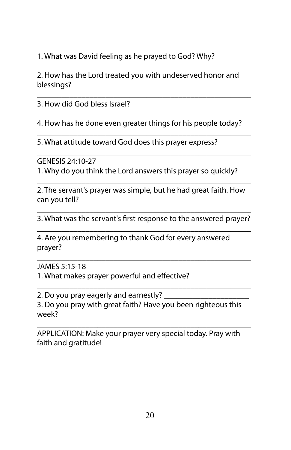1. What was David feeling as he prayed to God? Why?

\_\_\_\_\_\_\_\_\_\_\_\_\_\_\_\_\_\_\_\_\_\_\_\_\_\_\_\_\_\_\_\_\_\_\_\_\_\_\_\_\_\_\_\_\_\_\_\_\_\_\_\_\_ 2. How has the Lord treated you with undeserved honor and blessings?

\_\_\_\_\_\_\_\_\_\_\_\_\_\_\_\_\_\_\_\_\_\_\_\_\_\_\_\_\_\_\_\_\_\_\_\_\_\_\_\_\_\_\_\_\_\_\_\_\_\_\_\_\_ 3. How did God bless Israel?

\_\_\_\_\_\_\_\_\_\_\_\_\_\_\_\_\_\_\_\_\_\_\_\_\_\_\_\_\_\_\_\_\_\_\_\_\_\_\_\_\_\_\_\_\_\_\_\_\_\_\_\_\_ 4. How has he done even greater things for his people today? \_\_\_\_\_\_\_\_\_\_\_\_\_\_\_\_\_\_\_\_\_\_\_\_\_\_\_\_\_\_\_\_\_\_\_\_\_\_\_\_\_\_\_\_\_\_\_\_\_\_\_\_\_

5. What attitude toward God does this prayer express?

GENESIS 24:10-27

1. Why do you think the Lord answers this prayer so quickly?

\_\_\_\_\_\_\_\_\_\_\_\_\_\_\_\_\_\_\_\_\_\_\_\_\_\_\_\_\_\_\_\_\_\_\_\_\_\_\_\_\_\_\_\_\_\_\_\_\_\_\_\_\_

\_\_\_\_\_\_\_\_\_\_\_\_\_\_\_\_\_\_\_\_\_\_\_\_\_\_\_\_\_\_\_\_\_\_\_\_\_\_\_\_\_\_\_\_\_\_\_\_\_\_\_\_\_ 2. The servant's prayer was simple, but he had great faith. How can you tell?

\_\_\_\_\_\_\_\_\_\_\_\_\_\_\_\_\_\_\_\_\_\_\_\_\_\_\_\_\_\_\_\_\_\_\_\_\_\_\_\_\_\_\_\_\_\_\_\_\_\_\_\_\_ 3. What was the servant's first response to the answered prayer? \_\_\_\_\_\_\_\_\_\_\_\_\_\_\_\_\_\_\_\_\_\_\_\_\_\_\_\_\_\_\_\_\_\_\_\_\_\_\_\_\_\_\_\_\_\_\_\_\_\_\_\_\_

\_\_\_\_\_\_\_\_\_\_\_\_\_\_\_\_\_\_\_\_\_\_\_\_\_\_\_\_\_\_\_\_\_\_\_\_\_\_\_\_\_\_\_\_\_\_\_\_\_\_\_\_\_

\_\_\_\_\_\_\_\_\_\_\_\_\_\_\_\_\_\_\_\_\_\_\_\_\_\_\_\_\_\_\_\_\_\_\_\_\_\_\_\_\_\_\_\_\_\_\_\_\_\_\_\_\_

4. Are you remembering to thank God for every answered prayer?

JAMES 5:15-18

1. What makes prayer powerful and effective?

2. Do you pray eagerly and earnestly? 3. Do you pray with great faith? Have you been righteous this week?

\_\_\_\_\_\_\_\_\_\_\_\_\_\_\_\_\_\_\_\_\_\_\_\_\_\_\_\_\_\_\_\_\_\_\_\_\_\_\_\_\_\_\_\_\_\_\_\_\_\_\_\_\_ APPLICATION: Make your prayer very special today. Pray with faith and gratitude!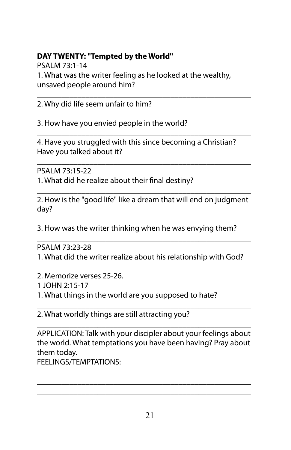## **DAY TWENTY: "Tempted by the World"**

PSALM 73:1-14

1. What was the writer feeling as he looked at the wealthy, unsaved people around him?

\_\_\_\_\_\_\_\_\_\_\_\_\_\_\_\_\_\_\_\_\_\_\_\_\_\_\_\_\_\_\_\_\_\_\_\_\_\_\_\_\_\_\_\_\_\_\_\_\_\_\_\_\_ 2. Why did life seem unfair to him?

\_\_\_\_\_\_\_\_\_\_\_\_\_\_\_\_\_\_\_\_\_\_\_\_\_\_\_\_\_\_\_\_\_\_\_\_\_\_\_\_\_\_\_\_\_\_\_\_\_\_\_\_\_ 3. How have you envied people in the world?

\_\_\_\_\_\_\_\_\_\_\_\_\_\_\_\_\_\_\_\_\_\_\_\_\_\_\_\_\_\_\_\_\_\_\_\_\_\_\_\_\_\_\_\_\_\_\_\_\_\_\_\_\_ 4. Have you struggled with this since becoming a Christian? Have you talked about it?

PSALM 73:15-22

1. What did he realize about their final destiny?

\_\_\_\_\_\_\_\_\_\_\_\_\_\_\_\_\_\_\_\_\_\_\_\_\_\_\_\_\_\_\_\_\_\_\_\_\_\_\_\_\_\_\_\_\_\_\_\_\_\_\_\_\_ 2. How is the "good life" like a dream that will end on judgment day?

\_\_\_\_\_\_\_\_\_\_\_\_\_\_\_\_\_\_\_\_\_\_\_\_\_\_\_\_\_\_\_\_\_\_\_\_\_\_\_\_\_\_\_\_\_\_\_\_\_\_\_\_\_

\_\_\_\_\_\_\_\_\_\_\_\_\_\_\_\_\_\_\_\_\_\_\_\_\_\_\_\_\_\_\_\_\_\_\_\_\_\_\_\_\_\_\_\_\_\_\_\_\_\_\_\_\_ 3. How was the writer thinking when he was envying them?

\_\_\_\_\_\_\_\_\_\_\_\_\_\_\_\_\_\_\_\_\_\_\_\_\_\_\_\_\_\_\_\_\_\_\_\_\_\_\_\_\_\_\_\_\_\_\_\_\_\_\_\_\_ PSALM 73:23-28

1. What did the writer realize about his relationship with God?

\_\_\_\_\_\_\_\_\_\_\_\_\_\_\_\_\_\_\_\_\_\_\_\_\_\_\_\_\_\_\_\_\_\_\_\_\_\_\_\_\_\_\_\_\_\_\_\_\_\_\_\_\_ 2. Memorize verses 25-26.

1 JOHN 2:15-17

1. What things in the world are you supposed to hate?

\_\_\_\_\_\_\_\_\_\_\_\_\_\_\_\_\_\_\_\_\_\_\_\_\_\_\_\_\_\_\_\_\_\_\_\_\_\_\_\_\_\_\_\_\_\_\_\_\_\_\_\_\_ 2. What worldly things are still attracting you?

\_\_\_\_\_\_\_\_\_\_\_\_\_\_\_\_\_\_\_\_\_\_\_\_\_\_\_\_\_\_\_\_\_\_\_\_\_\_\_\_\_\_\_\_\_\_\_\_\_\_\_\_\_ APPLICATION: Talk with your discipler about your feelings about the world. What temptations you have been having? Pray about them today.

\_\_\_\_\_\_\_\_\_\_\_\_\_\_\_\_\_\_\_\_\_\_\_\_\_\_\_\_\_\_\_\_\_\_\_\_\_\_\_\_\_\_\_\_\_\_\_\_\_\_\_\_\_ \_\_\_\_\_\_\_\_\_\_\_\_\_\_\_\_\_\_\_\_\_\_\_\_\_\_\_\_\_\_\_\_\_\_\_\_\_\_\_\_\_\_\_\_\_\_\_\_\_\_\_\_\_ \_\_\_\_\_\_\_\_\_\_\_\_\_\_\_\_\_\_\_\_\_\_\_\_\_\_\_\_\_\_\_\_\_\_\_\_\_\_\_\_\_\_\_\_\_\_\_\_\_\_\_\_\_

FEELINGS/TEMPTATIONS: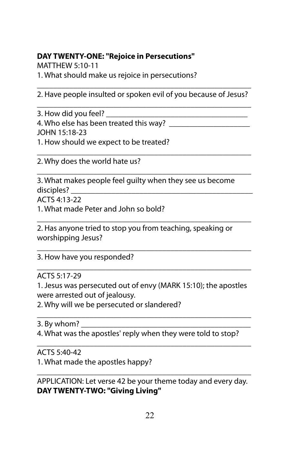## **DAY TWENTY-ONE: "Rejoice in Persecutions"**

MATTHEW 5:10-11

1. What should make us rejoice in persecutions?

\_\_\_\_\_\_\_\_\_\_\_\_\_\_\_\_\_\_\_\_\_\_\_\_\_\_\_\_\_\_\_\_\_\_\_\_\_\_\_\_\_\_\_\_\_\_\_\_\_\_\_\_\_ 2. Have people insulted or spoken evil of you because of Jesus? \_\_\_\_\_\_\_\_\_\_\_\_\_\_\_\_\_\_\_\_\_\_\_\_\_\_\_\_\_\_\_\_\_\_\_\_\_\_\_\_\_\_\_\_\_\_\_\_\_\_\_\_\_

3. How did you feel? 4. Who else has been treated this way? JOHN 15:18-23 1. How should we expect to be treated?

\_\_\_\_\_\_\_\_\_\_\_\_\_\_\_\_\_\_\_\_\_\_\_\_\_\_\_\_\_\_\_\_\_\_\_\_\_\_\_\_\_\_\_\_\_\_\_\_\_\_\_\_\_ 2. Why does the world hate us?

\_\_\_\_\_\_\_\_\_\_\_\_\_\_\_\_\_\_\_\_\_\_\_\_\_\_\_\_\_\_\_\_\_\_\_\_\_\_\_\_\_\_\_\_\_\_\_\_\_\_\_\_\_ 3. What makes people feel guilty when they see us become disciples? \_\_\_\_\_\_\_\_\_\_\_\_\_\_\_\_\_\_\_\_\_\_\_\_\_\_\_\_\_\_\_\_\_\_\_\_\_\_\_\_\_\_\_\_\_

ACTS 4:13-22

1. What made Peter and John so bold?

2. Has anyone tried to stop you from teaching, speaking or worshipping Jesus?

\_\_\_\_\_\_\_\_\_\_\_\_\_\_\_\_\_\_\_\_\_\_\_\_\_\_\_\_\_\_\_\_\_\_\_\_\_\_\_\_\_\_\_\_\_\_\_\_\_\_\_\_\_

\_\_\_\_\_\_\_\_\_\_\_\_\_\_\_\_\_\_\_\_\_\_\_\_\_\_\_\_\_\_\_\_\_\_\_\_\_\_\_\_\_\_\_\_\_\_\_\_\_\_\_\_\_

\_\_\_\_\_\_\_\_\_\_\_\_\_\_\_\_\_\_\_\_\_\_\_\_\_\_\_\_\_\_\_\_\_\_\_\_\_\_\_\_\_\_\_\_\_\_\_\_\_\_\_\_\_

3. How have you responded?

ACTS 5:17-29

1. Jesus was persecuted out of envy (MARK 15:10); the apostles were arrested out of jealousy.

\_\_\_\_\_\_\_\_\_\_\_\_\_\_\_\_\_\_\_\_\_\_\_\_\_\_\_\_\_\_\_\_\_\_\_\_\_\_\_\_\_\_\_\_\_\_\_\_\_\_\_\_\_

2. Why will we be persecuted or slandered?

3. By whom?

4. What was the apostles' reply when they were told to stop?

\_\_\_\_\_\_\_\_\_\_\_\_\_\_\_\_\_\_\_\_\_\_\_\_\_\_\_\_\_\_\_\_\_\_\_\_\_\_\_\_\_\_\_\_\_\_\_\_\_\_\_\_\_ ACTS 5:40-42

1. What made the apostles happy?

\_\_\_\_\_\_\_\_\_\_\_\_\_\_\_\_\_\_\_\_\_\_\_\_\_\_\_\_\_\_\_\_\_\_\_\_\_\_\_\_\_\_\_\_\_\_\_\_\_\_\_\_\_ APPLICATION: Let verse 42 be your theme today and every day. **DAY TWENTY-TWO: "Giving Living"**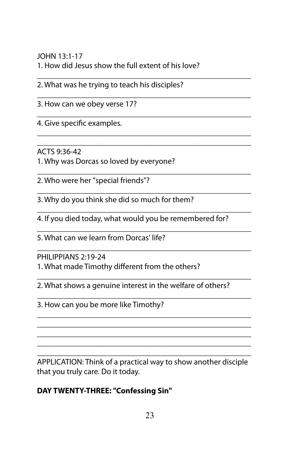JOHN 13:1-17 1. How did Jesus show the full extent of his love?

\_\_\_\_\_\_\_\_\_\_\_\_\_\_\_\_\_\_\_\_\_\_\_\_\_\_\_\_\_\_\_\_\_\_\_\_\_\_\_\_\_\_\_\_\_\_\_\_\_\_\_\_\_

\_\_\_\_\_\_\_\_\_\_\_\_\_\_\_\_\_\_\_\_\_\_\_\_\_\_\_\_\_\_\_\_\_\_\_\_\_\_\_\_\_\_\_\_\_\_\_\_\_\_\_\_\_

\_\_\_\_\_\_\_\_\_\_\_\_\_\_\_\_\_\_\_\_\_\_\_\_\_\_\_\_\_\_\_\_\_\_\_\_\_\_\_\_\_\_\_\_\_\_\_\_\_\_\_\_\_ \_\_\_\_\_\_\_\_\_\_\_\_\_\_\_\_\_\_\_\_\_\_\_\_\_\_\_\_\_\_\_\_\_\_\_\_\_\_\_\_\_\_\_\_\_\_\_\_\_\_\_\_\_

\_\_\_\_\_\_\_\_\_\_\_\_\_\_\_\_\_\_\_\_\_\_\_\_\_\_\_\_\_\_\_\_\_\_\_\_\_\_\_\_\_\_\_\_\_\_\_\_\_\_\_\_\_

\_\_\_\_\_\_\_\_\_\_\_\_\_\_\_\_\_\_\_\_\_\_\_\_\_\_\_\_\_\_\_\_\_\_\_\_\_\_\_\_\_\_\_\_\_\_\_\_\_\_\_\_\_

\_\_\_\_\_\_\_\_\_\_\_\_\_\_\_\_\_\_\_\_\_\_\_\_\_\_\_\_\_\_\_\_\_\_\_\_\_\_\_\_\_\_\_\_\_\_\_\_\_\_\_\_\_

\_\_\_\_\_\_\_\_\_\_\_\_\_\_\_\_\_\_\_\_\_\_\_\_\_\_\_\_\_\_\_\_\_\_\_\_\_\_\_\_\_\_\_\_\_\_\_\_\_\_\_\_\_

\_\_\_\_\_\_\_\_\_\_\_\_\_\_\_\_\_\_\_\_\_\_\_\_\_\_\_\_\_\_\_\_\_\_\_\_\_\_\_\_\_\_\_\_\_\_\_\_\_\_\_\_\_

\_\_\_\_\_\_\_\_\_\_\_\_\_\_\_\_\_\_\_\_\_\_\_\_\_\_\_\_\_\_\_\_\_\_\_\_\_\_\_\_\_\_\_\_\_\_\_\_\_\_\_\_\_ \_\_\_\_\_\_\_\_\_\_\_\_\_\_\_\_\_\_\_\_\_\_\_\_\_\_\_\_\_\_\_\_\_\_\_\_\_\_\_\_\_\_\_\_\_\_\_\_\_\_\_\_\_ \_\_\_\_\_\_\_\_\_\_\_\_\_\_\_\_\_\_\_\_\_\_\_\_\_\_\_\_\_\_\_\_\_\_\_\_\_\_\_\_\_\_\_\_\_\_\_\_\_\_\_\_\_ \_\_\_\_\_\_\_\_\_\_\_\_\_\_\_\_\_\_\_\_\_\_\_\_\_\_\_\_\_\_\_\_\_\_\_\_\_\_\_\_\_\_\_\_\_\_\_\_\_\_\_\_\_

2. What was he trying to teach his disciples?

\_\_\_\_\_\_\_\_\_\_\_\_\_\_\_\_\_\_\_\_\_\_\_\_\_\_\_\_\_\_\_\_\_\_\_\_\_\_\_\_\_\_\_\_\_\_\_\_\_\_\_\_\_ 3. How can we obey verse 17?

4. Give specific examples.

ACTS 9:36-42

1. Why was Dorcas so loved by everyone?

2. Who were her "special friends"?

3. Why do you think she did so much for them?

\_\_\_\_\_\_\_\_\_\_\_\_\_\_\_\_\_\_\_\_\_\_\_\_\_\_\_\_\_\_\_\_\_\_\_\_\_\_\_\_\_\_\_\_\_\_\_\_\_\_\_\_\_ 4. If you died today, what would you be remembered for?

5. What can we learn from Dorcas' life?

PHILIPPIANS 2:19-24

1. What made Timothy different from the others?

2. What shows a genuine interest in the welfare of others?

\_\_\_\_\_\_\_\_\_\_\_\_\_\_\_\_\_\_\_\_\_\_\_\_\_\_\_\_\_\_\_\_\_\_\_\_\_\_\_\_\_\_\_\_\_\_\_\_\_\_\_\_\_ 3. How can you be more like Timothy?

\_\_\_\_\_\_\_\_\_\_\_\_\_\_\_\_\_\_\_\_\_\_\_\_\_\_\_\_\_\_\_\_\_\_\_\_\_\_\_\_\_\_\_\_\_\_\_\_\_\_\_\_\_ APPLICATION: Think of a practical way to show another disciple that you truly care. Do it today.

## **DAY TWENTY-THREE: "Confessing Sin"**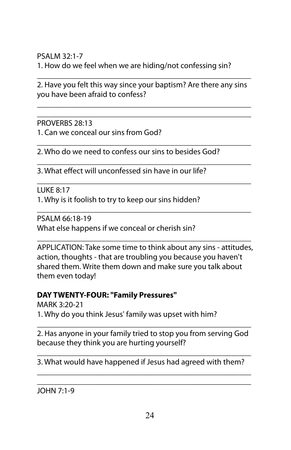PSALM 32:1-7 1. How do we feel when we are hiding/not confessing sin?

\_\_\_\_\_\_\_\_\_\_\_\_\_\_\_\_\_\_\_\_\_\_\_\_\_\_\_\_\_\_\_\_\_\_\_\_\_\_\_\_\_\_\_\_\_\_\_\_\_\_\_\_\_ 2. Have you felt this way since your baptism? Are there any sins you have been afraid to confess?

\_\_\_\_\_\_\_\_\_\_\_\_\_\_\_\_\_\_\_\_\_\_\_\_\_\_\_\_\_\_\_\_\_\_\_\_\_\_\_\_\_\_\_\_\_\_\_\_\_\_\_\_\_ \_\_\_\_\_\_\_\_\_\_\_\_\_\_\_\_\_\_\_\_\_\_\_\_\_\_\_\_\_\_\_\_\_\_\_\_\_\_\_\_\_\_\_\_\_\_\_\_\_\_\_\_\_

\_\_\_\_\_\_\_\_\_\_\_\_\_\_\_\_\_\_\_\_\_\_\_\_\_\_\_\_\_\_\_\_\_\_\_\_\_\_\_\_\_\_\_\_\_\_\_\_\_\_\_\_\_

\_\_\_\_\_\_\_\_\_\_\_\_\_\_\_\_\_\_\_\_\_\_\_\_\_\_\_\_\_\_\_\_\_\_\_\_\_\_\_\_\_\_\_\_\_\_\_\_\_\_\_\_\_

\_\_\_\_\_\_\_\_\_\_\_\_\_\_\_\_\_\_\_\_\_\_\_\_\_\_\_\_\_\_\_\_\_\_\_\_\_\_\_\_\_\_\_\_\_\_\_\_\_\_\_\_\_

PROVERBS 28:13 1. Can we conceal our sins from God?

2. Who do we need to confess our sins to besides God?

3. What effect will unconfessed sin have in our life?

LUKE 8:17

1. Why is it foolish to try to keep our sins hidden?

\_\_\_\_\_\_\_\_\_\_\_\_\_\_\_\_\_\_\_\_\_\_\_\_\_\_\_\_\_\_\_\_\_\_\_\_\_\_\_\_\_\_\_\_\_\_\_\_\_\_\_\_\_ PSALM 66:18-19 What else happens if we conceal or cherish sin?

APPLICATION: Take some time to think about any sins - attitudes, action, thoughts - that are troubling you because you haven't shared them. Write them down and make sure you talk about them even today!

\_\_\_\_\_\_\_\_\_\_\_\_\_\_\_\_\_\_\_\_\_\_\_\_\_\_\_\_\_\_\_\_\_\_\_\_\_\_\_\_\_\_\_\_\_\_\_\_\_\_\_\_\_

#### **DAY TWENTY-FOUR: "Family Pressures"**

MARK 3:20-21 1. Why do you think Jesus' family was upset with him?

\_\_\_\_\_\_\_\_\_\_\_\_\_\_\_\_\_\_\_\_\_\_\_\_\_\_\_\_\_\_\_\_\_\_\_\_\_\_\_\_\_\_\_\_\_\_\_\_\_\_\_\_\_ 2. Has anyone in your family tried to stop you from serving God because they think you are hurting yourself?

\_\_\_\_\_\_\_\_\_\_\_\_\_\_\_\_\_\_\_\_\_\_\_\_\_\_\_\_\_\_\_\_\_\_\_\_\_\_\_\_\_\_\_\_\_\_\_\_\_\_\_\_\_ 3. What would have happened if Jesus had agreed with them? \_\_\_\_\_\_\_\_\_\_\_\_\_\_\_\_\_\_\_\_\_\_\_\_\_\_\_\_\_\_\_\_\_\_\_\_\_\_\_\_\_\_\_\_\_\_\_\_\_\_\_\_\_

\_\_\_\_\_\_\_\_\_\_\_\_\_\_\_\_\_\_\_\_\_\_\_\_\_\_\_\_\_\_\_\_\_\_\_\_\_\_\_\_\_\_\_\_\_\_\_\_\_\_\_\_\_

JOHN 7:1-9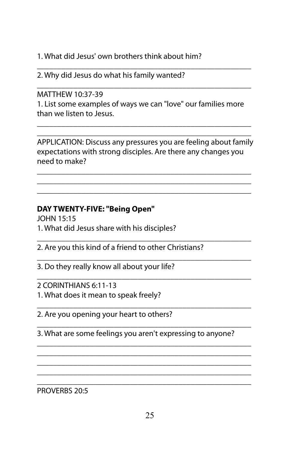1. What did Jesus' own brothers think about him?

\_\_\_\_\_\_\_\_\_\_\_\_\_\_\_\_\_\_\_\_\_\_\_\_\_\_\_\_\_\_\_\_\_\_\_\_\_\_\_\_\_\_\_\_\_\_\_\_\_\_\_\_\_ 2. Why did Jesus do what his family wanted?

\_\_\_\_\_\_\_\_\_\_\_\_\_\_\_\_\_\_\_\_\_\_\_\_\_\_\_\_\_\_\_\_\_\_\_\_\_\_\_\_\_\_\_\_\_\_\_\_\_\_\_\_\_ MATTHEW 10:37-39

1. List some examples of ways we can "love" our families more than we listen to Jesus.

\_\_\_\_\_\_\_\_\_\_\_\_\_\_\_\_\_\_\_\_\_\_\_\_\_\_\_\_\_\_\_\_\_\_\_\_\_\_\_\_\_\_\_\_\_\_\_\_\_\_\_\_\_

\_\_\_\_\_\_\_\_\_\_\_\_\_\_\_\_\_\_\_\_\_\_\_\_\_\_\_\_\_\_\_\_\_\_\_\_\_\_\_\_\_\_\_\_\_\_\_\_\_\_\_\_\_ APPLICATION: Discuss any pressures you are feeling about family expectations with strong disciples. Are there any changes you need to make?

\_\_\_\_\_\_\_\_\_\_\_\_\_\_\_\_\_\_\_\_\_\_\_\_\_\_\_\_\_\_\_\_\_\_\_\_\_\_\_\_\_\_\_\_\_\_\_\_\_\_\_\_\_ \_\_\_\_\_\_\_\_\_\_\_\_\_\_\_\_\_\_\_\_\_\_\_\_\_\_\_\_\_\_\_\_\_\_\_\_\_\_\_\_\_\_\_\_\_\_\_\_\_\_\_\_\_ \_\_\_\_\_\_\_\_\_\_\_\_\_\_\_\_\_\_\_\_\_\_\_\_\_\_\_\_\_\_\_\_\_\_\_\_\_\_\_\_\_\_\_\_\_\_\_\_\_\_\_\_\_

# **DAY TWENTY-FIVE: "Being Open"**

JOHN 15:15

1. What did Jesus share with his disciples?

\_\_\_\_\_\_\_\_\_\_\_\_\_\_\_\_\_\_\_\_\_\_\_\_\_\_\_\_\_\_\_\_\_\_\_\_\_\_\_\_\_\_\_\_\_\_\_\_\_\_\_\_\_ 2. Are you this kind of a friend to other Christians?

\_\_\_\_\_\_\_\_\_\_\_\_\_\_\_\_\_\_\_\_\_\_\_\_\_\_\_\_\_\_\_\_\_\_\_\_\_\_\_\_\_\_\_\_\_\_\_\_\_\_\_\_\_ 3. Do they really know all about your life?

\_\_\_\_\_\_\_\_\_\_\_\_\_\_\_\_\_\_\_\_\_\_\_\_\_\_\_\_\_\_\_\_\_\_\_\_\_\_\_\_\_\_\_\_\_\_\_\_\_\_\_\_\_ 2 CORINTHIANS 6:11-13 1. What does it mean to speak freely?

\_\_\_\_\_\_\_\_\_\_\_\_\_\_\_\_\_\_\_\_\_\_\_\_\_\_\_\_\_\_\_\_\_\_\_\_\_\_\_\_\_\_\_\_\_\_\_\_\_\_\_\_\_ 2. Are you opening your heart to others?

\_\_\_\_\_\_\_\_\_\_\_\_\_\_\_\_\_\_\_\_\_\_\_\_\_\_\_\_\_\_\_\_\_\_\_\_\_\_\_\_\_\_\_\_\_\_\_\_\_\_\_\_\_ 3. What are some feelings you aren't expressing to anyone?

\_\_\_\_\_\_\_\_\_\_\_\_\_\_\_\_\_\_\_\_\_\_\_\_\_\_\_\_\_\_\_\_\_\_\_\_\_\_\_\_\_\_\_\_\_\_\_\_\_\_\_\_\_ \_\_\_\_\_\_\_\_\_\_\_\_\_\_\_\_\_\_\_\_\_\_\_\_\_\_\_\_\_\_\_\_\_\_\_\_\_\_\_\_\_\_\_\_\_\_\_\_\_\_\_\_\_ \_\_\_\_\_\_\_\_\_\_\_\_\_\_\_\_\_\_\_\_\_\_\_\_\_\_\_\_\_\_\_\_\_\_\_\_\_\_\_\_\_\_\_\_\_\_\_\_\_\_\_\_\_ \_\_\_\_\_\_\_\_\_\_\_\_\_\_\_\_\_\_\_\_\_\_\_\_\_\_\_\_\_\_\_\_\_\_\_\_\_\_\_\_\_\_\_\_\_\_\_\_\_\_\_\_\_

\_\_\_\_\_\_\_\_\_\_\_\_\_\_\_\_\_\_\_\_\_\_\_\_\_\_\_\_\_\_\_\_\_\_\_\_\_\_\_\_\_\_\_\_\_\_\_\_\_\_\_\_\_ PROVERBS 20:5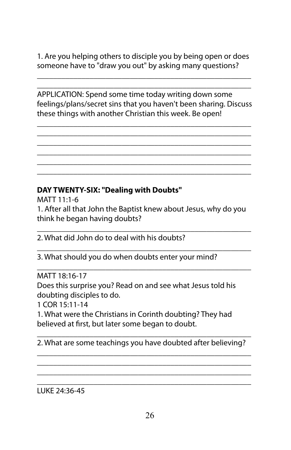1. Are you helping others to disciple you by being open or does someone have to "draw you out" by asking many questions?

\_\_\_\_\_\_\_\_\_\_\_\_\_\_\_\_\_\_\_\_\_\_\_\_\_\_\_\_\_\_\_\_\_\_\_\_\_\_\_\_\_\_\_\_\_\_\_\_\_\_\_\_\_ \_\_\_\_\_\_\_\_\_\_\_\_\_\_\_\_\_\_\_\_\_\_\_\_\_\_\_\_\_\_\_\_\_\_\_\_\_\_\_\_\_\_\_\_\_\_\_\_\_\_\_\_\_

APPLICATION: Spend some time today writing down some feelings/plans/secret sins that you haven't been sharing. Discuss these things with another Christian this week. Be open!

\_\_\_\_\_\_\_\_\_\_\_\_\_\_\_\_\_\_\_\_\_\_\_\_\_\_\_\_\_\_\_\_\_\_\_\_\_\_\_\_\_\_\_\_\_\_\_\_\_\_\_\_\_ \_\_\_\_\_\_\_\_\_\_\_\_\_\_\_\_\_\_\_\_\_\_\_\_\_\_\_\_\_\_\_\_\_\_\_\_\_\_\_\_\_\_\_\_\_\_\_\_\_\_\_\_\_ \_\_\_\_\_\_\_\_\_\_\_\_\_\_\_\_\_\_\_\_\_\_\_\_\_\_\_\_\_\_\_\_\_\_\_\_\_\_\_\_\_\_\_\_\_\_\_\_\_\_\_\_\_ \_\_\_\_\_\_\_\_\_\_\_\_\_\_\_\_\_\_\_\_\_\_\_\_\_\_\_\_\_\_\_\_\_\_\_\_\_\_\_\_\_\_\_\_\_\_\_\_\_\_\_\_\_ \_\_\_\_\_\_\_\_\_\_\_\_\_\_\_\_\_\_\_\_\_\_\_\_\_\_\_\_\_\_\_\_\_\_\_\_\_\_\_\_\_\_\_\_\_\_\_\_\_\_\_\_\_ \_\_\_\_\_\_\_\_\_\_\_\_\_\_\_\_\_\_\_\_\_\_\_\_\_\_\_\_\_\_\_\_\_\_\_\_\_\_\_\_\_\_\_\_\_\_\_\_\_\_\_\_\_

### **DAY TWENTY-SIX: "Dealing with Doubts"**

MATT 11:1-6 1. After all that John the Baptist knew about Jesus, why do you think he began having doubts?

\_\_\_\_\_\_\_\_\_\_\_\_\_\_\_\_\_\_\_\_\_\_\_\_\_\_\_\_\_\_\_\_\_\_\_\_\_\_\_\_\_\_\_\_\_\_\_\_\_\_\_\_\_ 2. What did John do to deal with his doubts?

3. What should you do when doubts enter your mind?

MATT 18:16-17

Does this surprise you? Read on and see what Jesus told his doubting disciples to do.

\_\_\_\_\_\_\_\_\_\_\_\_\_\_\_\_\_\_\_\_\_\_\_\_\_\_\_\_\_\_\_\_\_\_\_\_\_\_\_\_\_\_\_\_\_\_\_\_\_\_\_\_\_

\_\_\_\_\_\_\_\_\_\_\_\_\_\_\_\_\_\_\_\_\_\_\_\_\_\_\_\_\_\_\_\_\_\_\_\_\_\_\_\_\_\_\_\_\_\_\_\_\_\_\_\_\_

1 COR 15:11-14

1. What were the Christians in Corinth doubting? They had believed at first, but later some began to doubt.

\_\_\_\_\_\_\_\_\_\_\_\_\_\_\_\_\_\_\_\_\_\_\_\_\_\_\_\_\_\_\_\_\_\_\_\_\_\_\_\_\_\_\_\_\_\_\_\_\_\_\_\_\_ 2. What are some teachings you have doubted after believing? \_\_\_\_\_\_\_\_\_\_\_\_\_\_\_\_\_\_\_\_\_\_\_\_\_\_\_\_\_\_\_\_\_\_\_\_\_\_\_\_\_\_\_\_\_\_\_\_\_\_\_\_\_

\_\_\_\_\_\_\_\_\_\_\_\_\_\_\_\_\_\_\_\_\_\_\_\_\_\_\_\_\_\_\_\_\_\_\_\_\_\_\_\_\_\_\_\_\_\_\_\_\_\_\_\_\_ \_\_\_\_\_\_\_\_\_\_\_\_\_\_\_\_\_\_\_\_\_\_\_\_\_\_\_\_\_\_\_\_\_\_\_\_\_\_\_\_\_\_\_\_\_\_\_\_\_\_\_\_\_ \_\_\_\_\_\_\_\_\_\_\_\_\_\_\_\_\_\_\_\_\_\_\_\_\_\_\_\_\_\_\_\_\_\_\_\_\_\_\_\_\_\_\_\_\_\_\_\_\_\_\_\_\_

LUKE 24:36-45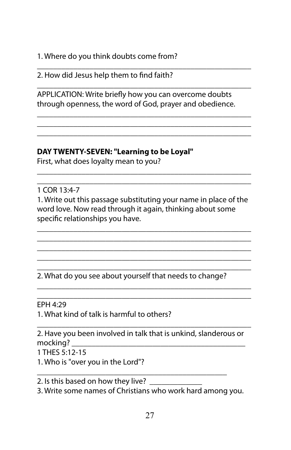1. Where do you think doubts come from?

\_\_\_\_\_\_\_\_\_\_\_\_\_\_\_\_\_\_\_\_\_\_\_\_\_\_\_\_\_\_\_\_\_\_\_\_\_\_\_\_\_\_\_\_\_\_\_\_\_\_\_\_\_ 2. How did Jesus help them to find faith?

APPLICATION: Write briefly how you can overcome doubts through openness, the word of God, prayer and obedience.

\_\_\_\_\_\_\_\_\_\_\_\_\_\_\_\_\_\_\_\_\_\_\_\_\_\_\_\_\_\_\_\_\_\_\_\_\_\_\_\_\_\_\_\_\_\_\_\_\_\_\_\_\_

\_\_\_\_\_\_\_\_\_\_\_\_\_\_\_\_\_\_\_\_\_\_\_\_\_\_\_\_\_\_\_\_\_\_\_\_\_\_\_\_\_\_\_\_\_\_\_\_\_\_\_\_\_ \_\_\_\_\_\_\_\_\_\_\_\_\_\_\_\_\_\_\_\_\_\_\_\_\_\_\_\_\_\_\_\_\_\_\_\_\_\_\_\_\_\_\_\_\_\_\_\_\_\_\_\_\_ \_\_\_\_\_\_\_\_\_\_\_\_\_\_\_\_\_\_\_\_\_\_\_\_\_\_\_\_\_\_\_\_\_\_\_\_\_\_\_\_\_\_\_\_\_\_\_\_\_\_\_\_\_

### **DAY TWENTY-SEVEN: "Learning to be Loyal"**

First, what does loyalty mean to you?

1 COR 13:4-7

1. Write out this passage substituting your name in place of the word love. Now read through it again, thinking about some specific relationships you have.

\_\_\_\_\_\_\_\_\_\_\_\_\_\_\_\_\_\_\_\_\_\_\_\_\_\_\_\_\_\_\_\_\_\_\_\_\_\_\_\_\_\_\_\_\_\_\_\_\_\_\_\_\_ \_\_\_\_\_\_\_\_\_\_\_\_\_\_\_\_\_\_\_\_\_\_\_\_\_\_\_\_\_\_\_\_\_\_\_\_\_\_\_\_\_\_\_\_\_\_\_\_\_\_\_\_\_ \_\_\_\_\_\_\_\_\_\_\_\_\_\_\_\_\_\_\_\_\_\_\_\_\_\_\_\_\_\_\_\_\_\_\_\_\_\_\_\_\_\_\_\_\_\_\_\_\_\_\_\_\_ \_\_\_\_\_\_\_\_\_\_\_\_\_\_\_\_\_\_\_\_\_\_\_\_\_\_\_\_\_\_\_\_\_\_\_\_\_\_\_\_\_\_\_\_\_\_\_\_\_\_\_\_\_

\_\_\_\_\_\_\_\_\_\_\_\_\_\_\_\_\_\_\_\_\_\_\_\_\_\_\_\_\_\_\_\_\_\_\_\_\_\_\_\_\_\_\_\_\_\_\_\_\_\_\_\_\_

\_\_\_\_\_\_\_\_\_\_\_\_\_\_\_\_\_\_\_\_\_\_\_\_\_\_\_\_\_\_\_\_\_\_\_\_\_\_\_\_\_\_\_\_\_\_\_\_\_\_\_\_\_ \_\_\_\_\_\_\_\_\_\_\_\_\_\_\_\_\_\_\_\_\_\_\_\_\_\_\_\_\_\_\_\_\_\_\_\_\_\_\_\_\_\_\_\_\_\_\_\_\_\_\_\_\_

\_\_\_\_\_\_\_\_\_\_\_\_\_\_\_\_\_\_\_\_\_\_\_\_\_\_\_\_\_\_\_\_\_\_\_\_\_\_\_\_\_\_\_\_\_\_\_\_\_\_\_\_\_ 2. What do you see about yourself that needs to change?

\_\_\_\_\_\_\_\_\_\_\_\_\_\_\_\_\_\_\_\_\_\_\_\_\_\_\_\_\_\_\_\_\_\_\_\_\_\_\_\_\_\_\_\_\_\_\_\_\_\_\_\_\_ EPH 4:29

1. What kind of talk is harmful to others?

\_\_\_\_\_\_\_\_\_\_\_\_\_\_\_\_\_\_\_\_\_\_\_\_\_\_\_\_\_\_\_\_\_\_\_\_\_\_\_\_\_\_\_\_\_\_\_\_\_\_\_\_\_ 2. Have you been involved in talk that is unkind, slanderous or mocking? \_\_\_\_\_\_\_\_\_\_\_\_\_\_\_\_\_\_\_\_\_\_\_\_\_\_\_\_\_\_\_\_\_\_\_\_\_\_\_\_\_\_\_

1 THES 5:12-15

1. Who is "over you in the Lord"?

\_\_\_\_\_\_\_\_\_\_\_\_\_\_\_\_\_\_\_\_\_\_\_\_\_\_\_\_\_\_\_\_\_\_\_\_\_\_\_\_\_\_\_\_\_\_\_ 2. Is this based on how they live? \_\_\_\_\_\_\_\_\_\_\_\_\_

3. Write some names of Christians who work hard among you.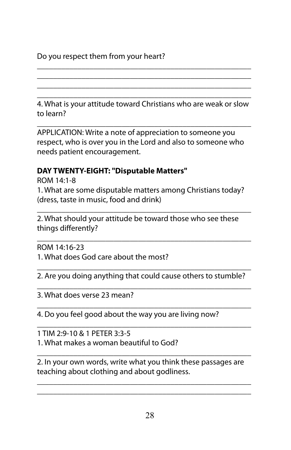# Do you respect them from your heart?

\_\_\_\_\_\_\_\_\_\_\_\_\_\_\_\_\_\_\_\_\_\_\_\_\_\_\_\_\_\_\_\_\_\_\_\_\_\_\_\_\_\_\_\_\_\_\_\_\_\_\_\_\_ 4. What is your attitude toward Christians who are weak or slow to learn?

\_\_\_\_\_\_\_\_\_\_\_\_\_\_\_\_\_\_\_\_\_\_\_\_\_\_\_\_\_\_\_\_\_\_\_\_\_\_\_\_\_\_\_\_\_\_\_\_\_\_\_\_\_ \_\_\_\_\_\_\_\_\_\_\_\_\_\_\_\_\_\_\_\_\_\_\_\_\_\_\_\_\_\_\_\_\_\_\_\_\_\_\_\_\_\_\_\_\_\_\_\_\_\_\_\_\_ \_\_\_\_\_\_\_\_\_\_\_\_\_\_\_\_\_\_\_\_\_\_\_\_\_\_\_\_\_\_\_\_\_\_\_\_\_\_\_\_\_\_\_\_\_\_\_\_\_\_\_\_\_

\_\_\_\_\_\_\_\_\_\_\_\_\_\_\_\_\_\_\_\_\_\_\_\_\_\_\_\_\_\_\_\_\_\_\_\_\_\_\_\_\_\_\_\_\_\_\_\_\_\_\_\_\_ APPLICATION: Write a note of appreciation to someone you respect, who is over you in the Lord and also to someone who needs patient encouragement.

### **DAY TWENTY-EIGHT: "Disputable Matters"**

ROM 14:1-8 1. What are some disputable matters among Christians today? (dress, taste in music, food and drink)

\_\_\_\_\_\_\_\_\_\_\_\_\_\_\_\_\_\_\_\_\_\_\_\_\_\_\_\_\_\_\_\_\_\_\_\_\_\_\_\_\_\_\_\_\_\_\_\_\_\_\_\_\_ 2. What should your attitude be toward those who see these things differently?

\_\_\_\_\_\_\_\_\_\_\_\_\_\_\_\_\_\_\_\_\_\_\_\_\_\_\_\_\_\_\_\_\_\_\_\_\_\_\_\_\_\_\_\_\_\_\_\_\_\_\_\_\_ ROM 14:16-23 1. What does God care about the most?

\_\_\_\_\_\_\_\_\_\_\_\_\_\_\_\_\_\_\_\_\_\_\_\_\_\_\_\_\_\_\_\_\_\_\_\_\_\_\_\_\_\_\_\_\_\_\_\_\_\_\_\_\_ 2. Are you doing anything that could cause others to stumble? \_\_\_\_\_\_\_\_\_\_\_\_\_\_\_\_\_\_\_\_\_\_\_\_\_\_\_\_\_\_\_\_\_\_\_\_\_\_\_\_\_\_\_\_\_\_\_\_\_\_\_\_\_

3. What does verse 23 mean?

\_\_\_\_\_\_\_\_\_\_\_\_\_\_\_\_\_\_\_\_\_\_\_\_\_\_\_\_\_\_\_\_\_\_\_\_\_\_\_\_\_\_\_\_\_\_\_\_\_\_\_\_\_ 4. Do you feel good about the way you are living now?

1 TIM 2:9-10 & 1 PETER 3:3-5 1. What makes a woman beautiful to God?

\_\_\_\_\_\_\_\_\_\_\_\_\_\_\_\_\_\_\_\_\_\_\_\_\_\_\_\_\_\_\_\_\_\_\_\_\_\_\_\_\_\_\_\_\_\_\_\_\_\_\_\_\_ 2. In your own words, write what you think these passages are teaching about clothing and about godliness.

\_\_\_\_\_\_\_\_\_\_\_\_\_\_\_\_\_\_\_\_\_\_\_\_\_\_\_\_\_\_\_\_\_\_\_\_\_\_\_\_\_\_\_\_\_\_\_\_\_\_\_\_\_ \_\_\_\_\_\_\_\_\_\_\_\_\_\_\_\_\_\_\_\_\_\_\_\_\_\_\_\_\_\_\_\_\_\_\_\_\_\_\_\_\_\_\_\_\_\_\_\_\_\_\_\_\_

\_\_\_\_\_\_\_\_\_\_\_\_\_\_\_\_\_\_\_\_\_\_\_\_\_\_\_\_\_\_\_\_\_\_\_\_\_\_\_\_\_\_\_\_\_\_\_\_\_\_\_\_\_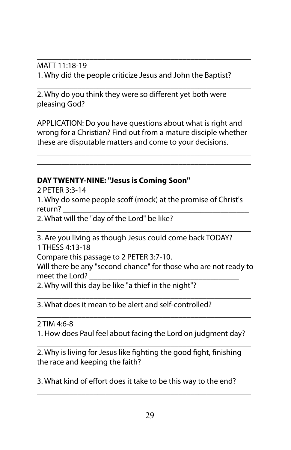\_\_\_\_\_\_\_\_\_\_\_\_\_\_\_\_\_\_\_\_\_\_\_\_\_\_\_\_\_\_\_\_\_\_\_\_\_\_\_\_\_\_\_\_\_\_\_\_\_\_\_\_\_ MATT 11:18-19 1. Why did the people criticize Jesus and John the Baptist?

2. Why do you think they were so different yet both were pleasing God?

APPLICATION: Do you have questions about what is right and wrong for a Christian? Find out from a mature disciple whether these are disputable matters and come to your decisions.

\_\_\_\_\_\_\_\_\_\_\_\_\_\_\_\_\_\_\_\_\_\_\_\_\_\_\_\_\_\_\_\_\_\_\_\_\_\_\_\_\_\_\_\_\_\_\_\_\_\_\_\_\_ \_\_\_\_\_\_\_\_\_\_\_\_\_\_\_\_\_\_\_\_\_\_\_\_\_\_\_\_\_\_\_\_\_\_\_\_\_\_\_\_\_\_\_\_\_\_\_\_\_\_\_\_\_

\_\_\_\_\_\_\_\_\_\_\_\_\_\_\_\_\_\_\_\_\_\_\_\_\_\_\_\_\_\_\_\_\_\_\_\_\_\_\_\_\_\_\_\_\_\_\_\_\_\_\_\_\_

\_\_\_\_\_\_\_\_\_\_\_\_\_\_\_\_\_\_\_\_\_\_\_\_\_\_\_\_\_\_\_\_\_\_\_\_\_\_\_\_\_\_\_\_\_\_\_\_\_\_\_\_\_

#### **DAY TWENTY-NINE: "Jesus is Coming Soon"**

2 PETER 3:3-14

1. Why do some people scoff (mock) at the promise of Christ's return? \_\_\_\_\_\_\_\_\_\_\_\_\_\_\_\_\_\_\_\_\_\_\_\_\_\_\_\_\_\_\_\_\_\_\_\_\_\_\_\_\_\_\_\_\_\_

2. What will the "day of the Lord" be like?

\_\_\_\_\_\_\_\_\_\_\_\_\_\_\_\_\_\_\_\_\_\_\_\_\_\_\_\_\_\_\_\_\_\_\_\_\_\_\_\_\_\_\_\_\_\_\_\_\_\_\_\_\_ 3. Are you living as though Jesus could come back TODAY? 1 THESS 4:13-18

Compare this passage to 2 PETER 3:7-10.

Will there be any "second chance" for those who are not ready to meet the Lord? \_\_\_\_\_\_\_\_\_\_\_\_\_\_\_\_\_\_\_\_\_\_\_\_\_\_\_\_\_\_\_\_\_\_\_\_\_

2. Why will this day be like "a thief in the night"?

\_\_\_\_\_\_\_\_\_\_\_\_\_\_\_\_\_\_\_\_\_\_\_\_\_\_\_\_\_\_\_\_\_\_\_\_\_\_\_\_\_\_\_\_\_\_\_\_\_\_\_\_\_ 3. What does it mean to be alert and self-controlled?

\_\_\_\_\_\_\_\_\_\_\_\_\_\_\_\_\_\_\_\_\_\_\_\_\_\_\_\_\_\_\_\_\_\_\_\_\_\_\_\_\_\_\_\_\_\_\_\_\_\_\_\_\_ 2 TIM 4:6-8 1. How does Paul feel about facing the Lord on judgment day?

\_\_\_\_\_\_\_\_\_\_\_\_\_\_\_\_\_\_\_\_\_\_\_\_\_\_\_\_\_\_\_\_\_\_\_\_\_\_\_\_\_\_\_\_\_\_\_\_\_\_\_\_\_

\_\_\_\_\_\_\_\_\_\_\_\_\_\_\_\_\_\_\_\_\_\_\_\_\_\_\_\_\_\_\_\_\_\_\_\_\_\_\_\_\_\_\_\_\_\_\_\_\_\_\_\_\_

\_\_\_\_\_\_\_\_\_\_\_\_\_\_\_\_\_\_\_\_\_\_\_\_\_\_\_\_\_\_\_\_\_\_\_\_\_\_\_\_\_\_\_\_\_\_\_\_\_\_\_\_\_

2. Why is living for Jesus like fighting the good fight, finishing the race and keeping the faith?

3. What kind of effort does it take to be this way to the end?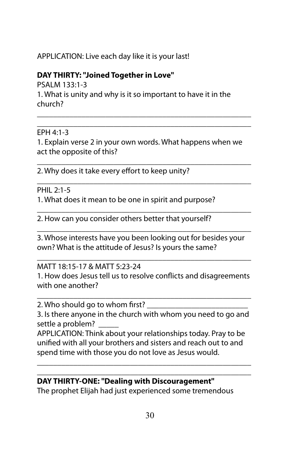## APPLICATION: Live each day like it is your last!

# **DAY THIRTY: "Joined Together in Love"**

PSALM 133:1-3 1. What is unity and why is it so important to have it in the church?

### EPH 4:1-3

1. Explain verse 2 in your own words. What happens when we act the opposite of this?

\_\_\_\_\_\_\_\_\_\_\_\_\_\_\_\_\_\_\_\_\_\_\_\_\_\_\_\_\_\_\_\_\_\_\_\_\_\_\_\_\_\_\_\_\_\_\_\_\_\_\_\_\_

\_\_\_\_\_\_\_\_\_\_\_\_\_\_\_\_\_\_\_\_\_\_\_\_\_\_\_\_\_\_\_\_\_\_\_\_\_\_\_\_\_\_\_\_\_\_\_\_\_\_\_\_\_

\_\_\_\_\_\_\_\_\_\_\_\_\_\_\_\_\_\_\_\_\_\_\_\_\_\_\_\_\_\_\_\_\_\_\_\_\_\_\_\_\_\_\_\_\_\_\_\_\_\_\_\_\_ \_\_\_\_\_\_\_\_\_\_\_\_\_\_\_\_\_\_\_\_\_\_\_\_\_\_\_\_\_\_\_\_\_\_\_\_\_\_\_\_\_\_\_\_\_\_\_\_\_\_\_\_\_

2. Why does it take every effort to keep unity?

### PHIL 2:1-5

1. What does it mean to be one in spirit and purpose?

\_\_\_\_\_\_\_\_\_\_\_\_\_\_\_\_\_\_\_\_\_\_\_\_\_\_\_\_\_\_\_\_\_\_\_\_\_\_\_\_\_\_\_\_\_\_\_\_\_\_\_\_\_ 2. How can you consider others better that yourself?

\_\_\_\_\_\_\_\_\_\_\_\_\_\_\_\_\_\_\_\_\_\_\_\_\_\_\_\_\_\_\_\_\_\_\_\_\_\_\_\_\_\_\_\_\_\_\_\_\_\_\_\_\_ 3. Whose interests have you been looking out for besides your own? What is the attitude of Jesus? Is yours the same?

#### \_\_\_\_\_\_\_\_\_\_\_\_\_\_\_\_\_\_\_\_\_\_\_\_\_\_\_\_\_\_\_\_\_\_\_\_\_\_\_\_\_\_\_\_\_\_\_\_\_\_\_\_\_ MATT 18:15-17 & MATT 5:23-24

1. How does Jesus tell us to resolve conflicts and disagreements with one another?

\_\_\_\_\_\_\_\_\_\_\_\_\_\_\_\_\_\_\_\_\_\_\_\_\_\_\_\_\_\_\_\_\_\_\_\_\_\_\_\_\_\_\_\_\_\_\_\_\_\_\_\_\_ 2. Who should go to whom first?

3. Is there anyone in the church with whom you need to go and settle a problem? \_\_\_\_\_

APPLICATION: Think about your relationships today. Pray to be unified with all your brothers and sisters and reach out to and spend time with those you do not love as Jesus would.

\_\_\_\_\_\_\_\_\_\_\_\_\_\_\_\_\_\_\_\_\_\_\_\_\_\_\_\_\_\_\_\_\_\_\_\_\_\_\_\_\_\_\_\_\_\_\_\_\_\_\_\_\_

#### \_\_\_\_\_\_\_\_\_\_\_\_\_\_\_\_\_\_\_\_\_\_\_\_\_\_\_\_\_\_\_\_\_\_\_\_\_\_\_\_\_\_\_\_\_\_\_\_\_\_\_\_\_ **DAY THIRTY-ONE: "Dealing with Discouragement"**

The prophet Elijah had just experienced some tremendous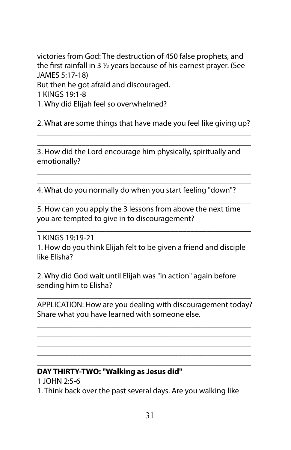victories from God: The destruction of 450 false prophets, and the first rainfall in 3  $\frac{1}{2}$  years because of his earnest prayer. (See JAMES 5:17-18) But then he got afraid and discouraged. 1 KINGS 19:1-8

1. Why did Elijah feel so overwhelmed?

\_\_\_\_\_\_\_\_\_\_\_\_\_\_\_\_\_\_\_\_\_\_\_\_\_\_\_\_\_\_\_\_\_\_\_\_\_\_\_\_\_\_\_\_\_\_\_\_\_\_\_\_\_ 2. What are some things that have made you feel like giving up? \_\_\_\_\_\_\_\_\_\_\_\_\_\_\_\_\_\_\_\_\_\_\_\_\_\_\_\_\_\_\_\_\_\_\_\_\_\_\_\_\_\_\_\_\_\_\_\_\_\_\_\_\_

\_\_\_\_\_\_\_\_\_\_\_\_\_\_\_\_\_\_\_\_\_\_\_\_\_\_\_\_\_\_\_\_\_\_\_\_\_\_\_\_\_\_\_\_\_\_\_\_\_\_\_\_\_

\_\_\_\_\_\_\_\_\_\_\_\_\_\_\_\_\_\_\_\_\_\_\_\_\_\_\_\_\_\_\_\_\_\_\_\_\_\_\_\_\_\_\_\_\_\_\_\_\_\_\_\_\_ \_\_\_\_\_\_\_\_\_\_\_\_\_\_\_\_\_\_\_\_\_\_\_\_\_\_\_\_\_\_\_\_\_\_\_\_\_\_\_\_\_\_\_\_\_\_\_\_\_\_\_\_\_

\_\_\_\_\_\_\_\_\_\_\_\_\_\_\_\_\_\_\_\_\_\_\_\_\_\_\_\_\_\_\_\_\_\_\_\_\_\_\_\_\_\_\_\_\_\_\_\_\_\_\_\_\_

\_\_\_\_\_\_\_\_\_\_\_\_\_\_\_\_\_\_\_\_\_\_\_\_\_\_\_\_\_\_\_\_\_\_\_\_\_\_\_\_\_\_\_\_\_\_\_\_\_\_\_\_\_

3. How did the Lord encourage him physically, spiritually and emotionally?

4. What do you normally do when you start feeling "down"?

5. How can you apply the 3 lessons from above the next time you are tempted to give in to discouragement?

1 KINGS 19:19-21 1. How do you think Elijah felt to be given a friend and disciple like Elisha?

\_\_\_\_\_\_\_\_\_\_\_\_\_\_\_\_\_\_\_\_\_\_\_\_\_\_\_\_\_\_\_\_\_\_\_\_\_\_\_\_\_\_\_\_\_\_\_\_\_\_\_\_\_

2. Why did God wait until Elijah was "in action" again before sending him to Elisha?

\_\_\_\_\_\_\_\_\_\_\_\_\_\_\_\_\_\_\_\_\_\_\_\_\_\_\_\_\_\_\_\_\_\_\_\_\_\_\_\_\_\_\_\_\_\_\_\_\_\_\_\_\_ APPLICATION: How are you dealing with discouragement today? Share what you have learned with someone else.

\_\_\_\_\_\_\_\_\_\_\_\_\_\_\_\_\_\_\_\_\_\_\_\_\_\_\_\_\_\_\_\_\_\_\_\_\_\_\_\_\_\_\_\_\_\_\_\_\_\_\_\_\_ \_\_\_\_\_\_\_\_\_\_\_\_\_\_\_\_\_\_\_\_\_\_\_\_\_\_\_\_\_\_\_\_\_\_\_\_\_\_\_\_\_\_\_\_\_\_\_\_\_\_\_\_\_ \_\_\_\_\_\_\_\_\_\_\_\_\_\_\_\_\_\_\_\_\_\_\_\_\_\_\_\_\_\_\_\_\_\_\_\_\_\_\_\_\_\_\_\_\_\_\_\_\_\_\_\_\_ \_\_\_\_\_\_\_\_\_\_\_\_\_\_\_\_\_\_\_\_\_\_\_\_\_\_\_\_\_\_\_\_\_\_\_\_\_\_\_\_\_\_\_\_\_\_\_\_\_\_\_\_\_ \_\_\_\_\_\_\_\_\_\_\_\_\_\_\_\_\_\_\_\_\_\_\_\_\_\_\_\_\_\_\_\_\_\_\_\_\_\_\_\_\_\_\_\_\_\_\_\_\_\_\_\_\_

#### **DAY THIRTY-TWO: "Walking as Jesus did"**

1 JOHN 2:5-6

1. Think back over the past several days. Are you walking like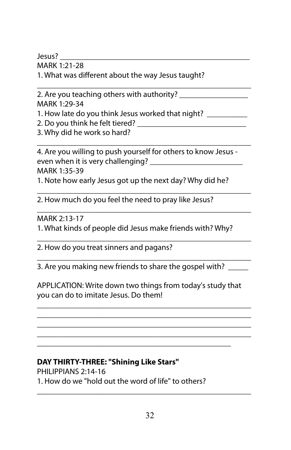Jesus? \_\_\_\_\_\_\_\_\_\_\_\_\_\_\_\_\_\_\_\_\_\_\_\_\_\_\_\_\_\_\_\_\_\_\_\_\_\_\_\_\_\_\_\_\_\_\_

MARK 1:21-28

1. What was different about the way Jesus taught?

\_\_\_\_\_\_\_\_\_\_\_\_\_\_\_\_\_\_\_\_\_\_\_\_\_\_\_\_\_\_\_\_\_\_\_\_\_\_\_\_\_\_\_\_\_\_\_\_\_\_\_\_\_ 2. Are you teaching others with authority? \_\_\_\_\_\_\_\_\_\_\_\_\_\_\_\_\_ MARK 1:29-34

1. How late do you think Jesus worked that night? \_\_\_\_\_\_\_\_\_\_

2. Do you think he felt tiered?

3. Why did he work so hard?

\_\_\_\_\_\_\_\_\_\_\_\_\_\_\_\_\_\_\_\_\_\_\_\_\_\_\_\_\_\_\_\_\_\_\_\_\_\_\_\_\_\_\_\_\_\_\_\_\_\_\_\_\_ 4. Are you willing to push yourself for others to know Jesus even when it is very challenging? \_\_\_\_\_\_\_\_\_\_\_\_\_\_\_\_\_\_\_\_\_\_\_ MARK 1:35-39 1. Note how early Jesus got up the next day? Why did he?

\_\_\_\_\_\_\_\_\_\_\_\_\_\_\_\_\_\_\_\_\_\_\_\_\_\_\_\_\_\_\_\_\_\_\_\_\_\_\_\_\_\_\_\_\_\_\_\_\_\_\_\_\_ 2. How much do you feel the need to pray like Jesus?

#### \_\_\_\_\_\_\_\_\_\_\_\_\_\_\_\_\_\_\_\_\_\_\_\_\_\_\_\_\_\_\_\_\_\_\_\_\_\_\_\_\_\_\_\_\_\_\_\_\_\_\_\_\_ MARK 2:13-17

1. What kinds of people did Jesus make friends with? Why?

\_\_\_\_\_\_\_\_\_\_\_\_\_\_\_\_\_\_\_\_\_\_\_\_\_\_\_\_\_\_\_\_\_\_\_\_\_\_\_\_\_\_\_\_\_\_\_\_\_\_\_\_\_ 2. How do you treat sinners and pagans?

\_\_\_\_\_\_\_\_\_\_\_\_\_\_\_\_\_\_\_\_\_\_\_\_\_\_\_\_\_\_\_\_\_\_\_\_\_\_\_\_\_\_\_\_\_\_\_\_\_\_\_\_\_ 3. Are you making new friends to share the gospel with?

APPLICATION: Write down two things from today's study that you can do to imitate Jesus. Do them!

\_\_\_\_\_\_\_\_\_\_\_\_\_\_\_\_\_\_\_\_\_\_\_\_\_\_\_\_\_\_\_\_\_\_\_\_\_\_\_\_\_\_\_\_\_\_\_\_\_\_\_\_\_ \_\_\_\_\_\_\_\_\_\_\_\_\_\_\_\_\_\_\_\_\_\_\_\_\_\_\_\_\_\_\_\_\_\_\_\_\_\_\_\_\_\_\_\_\_\_\_\_\_\_\_\_\_ \_\_\_\_\_\_\_\_\_\_\_\_\_\_\_\_\_\_\_\_\_\_\_\_\_\_\_\_\_\_\_\_\_\_\_\_\_\_\_\_\_\_\_\_\_\_\_\_\_\_\_\_\_ \_\_\_\_\_\_\_\_\_\_\_\_\_\_\_\_\_\_\_\_\_\_\_\_\_\_\_\_\_\_\_\_\_\_\_\_\_\_\_\_\_\_\_\_\_\_\_\_\_\_\_\_\_ \_\_\_\_\_\_\_\_\_\_\_\_\_\_\_\_\_\_\_\_\_\_\_\_\_\_\_\_\_\_\_\_\_\_\_\_\_\_\_\_\_\_\_\_\_\_\_\_

# **DAY THIRTY-THREE: "Shining Like Stars"**

PHILIPPIANS 2:14-16 1. How do we "hold out the word of life" to others?

\_\_\_\_\_\_\_\_\_\_\_\_\_\_\_\_\_\_\_\_\_\_\_\_\_\_\_\_\_\_\_\_\_\_\_\_\_\_\_\_\_\_\_\_\_\_\_\_\_\_\_\_\_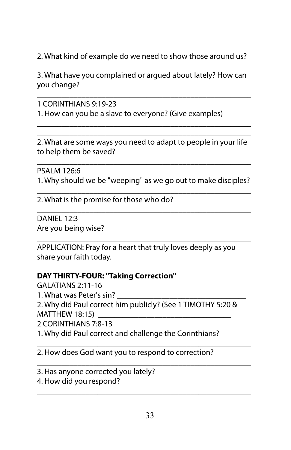2. What kind of example do we need to show those around us?

\_\_\_\_\_\_\_\_\_\_\_\_\_\_\_\_\_\_\_\_\_\_\_\_\_\_\_\_\_\_\_\_\_\_\_\_\_\_\_\_\_\_\_\_\_\_\_\_\_\_\_\_\_ 3. What have you complained or argued about lately? How can you change?

\_\_\_\_\_\_\_\_\_\_\_\_\_\_\_\_\_\_\_\_\_\_\_\_\_\_\_\_\_\_\_\_\_\_\_\_\_\_\_\_\_\_\_\_\_\_\_\_\_\_\_\_\_

\_\_\_\_\_\_\_\_\_\_\_\_\_\_\_\_\_\_\_\_\_\_\_\_\_\_\_\_\_\_\_\_\_\_\_\_\_\_\_\_\_\_\_\_\_\_\_\_\_\_\_\_\_

1 CORINTHIANS 9:19-23 1. How can you be a slave to everyone? (Give examples)

\_\_\_\_\_\_\_\_\_\_\_\_\_\_\_\_\_\_\_\_\_\_\_\_\_\_\_\_\_\_\_\_\_\_\_\_\_\_\_\_\_\_\_\_\_\_\_\_\_\_\_\_\_ 2. What are some ways you need to adapt to people in your life to help them be saved?

\_\_\_\_\_\_\_\_\_\_\_\_\_\_\_\_\_\_\_\_\_\_\_\_\_\_\_\_\_\_\_\_\_\_\_\_\_\_\_\_\_\_\_\_\_\_\_\_\_\_\_\_\_ PSALM 126:6 1. Why should we be "weeping" as we go out to make disciples? \_\_\_\_\_\_\_\_\_\_\_\_\_\_\_\_\_\_\_\_\_\_\_\_\_\_\_\_\_\_\_\_\_\_\_\_\_\_\_\_\_\_\_\_\_\_\_\_\_\_\_\_\_

\_\_\_\_\_\_\_\_\_\_\_\_\_\_\_\_\_\_\_\_\_\_\_\_\_\_\_\_\_\_\_\_\_\_\_\_\_\_\_\_\_\_\_\_\_\_\_\_\_\_\_\_\_

2. What is the promise for those who do?

DANIFI 12:3 Are you being wise?

\_\_\_\_\_\_\_\_\_\_\_\_\_\_\_\_\_\_\_\_\_\_\_\_\_\_\_\_\_\_\_\_\_\_\_\_\_\_\_\_\_\_\_\_\_\_\_\_\_\_\_\_\_ APPLICATION: Pray for a heart that truly loves deeply as you share your faith today.

## **DAY THIRTY-FOUR: "Taking Correction"**

GALATIANS 2:11-16 1. What was Peter's sin? 2. Why did Paul correct him publicly? (See 1 TIMOTHY 5:20 &  $MATTHEW$  18:15) 2 CORINTHIANS 7:8-13 1. Why did Paul correct and challenge the Corinthians?

\_\_\_\_\_\_\_\_\_\_\_\_\_\_\_\_\_\_\_\_\_\_\_\_\_\_\_\_\_\_\_\_\_\_\_\_\_\_\_\_\_\_\_\_\_\_\_\_\_\_\_\_\_

\_\_\_\_\_\_\_\_\_\_\_\_\_\_\_\_\_\_\_\_\_\_\_\_\_\_\_\_\_\_\_\_\_\_\_\_\_\_\_\_\_\_\_\_\_\_\_\_\_\_\_\_\_

\_\_\_\_\_\_\_\_\_\_\_\_\_\_\_\_\_\_\_\_\_\_\_\_\_\_\_\_\_\_\_\_\_\_\_\_\_\_\_\_\_\_\_\_\_\_\_\_\_\_\_\_\_ 2. How does God want you to respond to correction?

3. Has anyone corrected you lately? \_\_\_\_\_

4. How did you respond?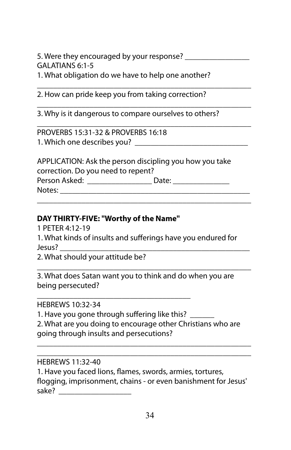5. Were they encouraged by your response? \_\_\_\_\_\_\_\_\_\_\_\_\_\_\_\_ GALATIANS 6:1-5

\_\_\_\_\_\_\_\_\_\_\_\_\_\_\_\_\_\_\_\_\_\_\_\_\_\_\_\_\_\_\_\_\_\_\_\_\_\_\_\_\_\_\_\_\_\_\_\_\_\_\_\_\_

\_\_\_\_\_\_\_\_\_\_\_\_\_\_\_\_\_\_\_\_\_\_\_\_\_\_\_\_\_\_\_\_\_\_\_\_\_\_\_\_\_\_\_\_\_\_\_\_\_\_\_\_\_

1. What obligation do we have to help one another?

\_\_\_\_\_\_\_\_\_\_\_\_\_\_\_\_\_\_\_\_\_\_\_\_\_\_\_\_\_\_\_\_\_\_\_\_\_\_\_\_\_\_\_\_\_\_\_\_\_\_\_\_\_ 2. How can pride keep you from taking correction?

3. Why is it dangerous to compare ourselves to others?

PROVERBS 15:31-32 & PROVERBS 16:18 1. Which one describes you? \_\_\_\_\_\_\_\_\_\_\_\_\_\_\_\_\_\_\_\_\_\_\_\_\_\_\_\_

APPLICATION: Ask the person discipling you how you take correction. Do you need to repent? Person Asked: \_\_\_\_\_\_\_\_\_\_\_\_\_\_\_\_ Date: \_\_\_\_\_\_\_\_\_\_\_\_\_\_ Notes:

\_\_\_\_\_\_\_\_\_\_\_\_\_\_\_\_\_\_\_\_\_\_\_\_\_\_\_\_\_\_\_\_\_\_\_\_\_\_\_\_\_\_\_\_\_\_\_\_\_\_\_\_\_

### **DAY THIRTY-FIVE: "Worthy of the Name"**

1 PETER 4:12-19

1. What kinds of insults and sufferings have you endured for Jesus? \_\_\_\_\_\_\_\_\_\_\_\_\_\_\_\_\_\_\_\_\_\_\_\_\_\_\_\_\_\_\_\_\_\_\_\_\_\_\_\_\_\_\_\_\_\_\_

2. What should your attitude be?

\_\_\_\_\_\_\_\_\_\_\_\_\_\_\_\_\_\_\_\_\_\_\_\_\_\_\_\_\_\_\_\_\_\_\_\_\_\_\_\_\_\_\_\_\_\_\_\_\_\_\_\_\_ 3. What does Satan want you to think and do when you are being persecuted?

HEBREWS 10:32-34

1. Have you gone through suffering like this?

\_\_\_\_\_\_\_\_\_\_\_\_\_\_\_\_\_\_\_\_\_\_\_\_\_\_\_\_\_\_\_\_\_\_\_\_\_\_

2. What are you doing to encourage other Christians who are going through insults and persecutions?

\_\_\_\_\_\_\_\_\_\_\_\_\_\_\_\_\_\_\_\_\_\_\_\_\_\_\_\_\_\_\_\_\_\_\_\_\_\_\_\_\_\_\_\_\_\_\_\_\_\_\_\_\_ \_\_\_\_\_\_\_\_\_\_\_\_\_\_\_\_\_\_\_\_\_\_\_\_\_\_\_\_\_\_\_\_\_\_\_\_\_\_\_\_\_\_\_\_\_\_\_\_\_\_\_\_\_

#### HEBREWS 11:32-40

1. Have you faced lions, flames, swords, armies, tortures, flogging, imprisonment, chains - or even banishment for Jesus' sake? \_\_\_\_\_\_\_\_\_\_\_\_\_\_\_\_\_\_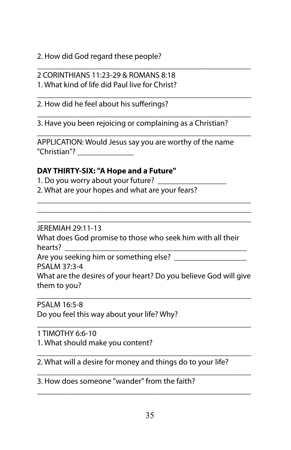2. How did God regard these people?

\_\_\_\_\_\_\_\_\_\_\_\_\_\_\_\_\_\_\_\_\_\_\_\_\_\_\_\_\_\_\_\_\_\_\_\_\_\_\_\_\_\_\_\_\_\_\_\_\_\_\_\_\_ 2 CORINTHIANS 11:23-29 & ROMANS 8:18

1. What kind of life did Paul live for Christ?

\_\_\_\_\_\_\_\_\_\_\_\_\_\_\_\_\_\_\_\_\_\_\_\_\_\_\_\_\_\_\_\_\_\_\_\_\_\_\_\_\_\_\_\_\_\_\_\_\_\_\_\_\_ 2. How did he feel about his sufferings?

\_\_\_\_\_\_\_\_\_\_\_\_\_\_\_\_\_\_\_\_\_\_\_\_\_\_\_\_\_\_\_\_\_\_\_\_\_\_\_\_\_\_\_\_\_\_\_\_\_\_\_\_\_ 3. Have you been rejoicing or complaining as a Christian?

APPLICATION: Would Jesus say you are worthy of the name "Christian"? \_\_\_\_\_\_\_\_\_\_\_\_\_\_

\_\_\_\_\_\_\_\_\_\_\_\_\_\_\_\_\_\_\_\_\_\_\_\_\_\_\_\_\_\_\_\_\_\_\_\_\_\_\_\_\_\_\_\_\_\_\_\_\_\_\_\_\_

\_\_\_\_\_\_\_\_\_\_\_\_\_\_\_\_\_\_\_\_\_\_\_\_\_\_\_\_\_\_\_\_\_\_\_\_\_\_\_\_\_\_\_\_\_\_\_\_\_\_\_\_\_ \_\_\_\_\_\_\_\_\_\_\_\_\_\_\_\_\_\_\_\_\_\_\_\_\_\_\_\_\_\_\_\_\_\_\_\_\_\_\_\_\_\_\_\_\_\_\_\_\_\_\_\_\_ \_\_\_\_\_\_\_\_\_\_\_\_\_\_\_\_\_\_\_\_\_\_\_\_\_\_\_\_\_\_\_\_\_\_\_\_\_\_\_\_\_\_\_\_\_\_\_\_\_\_\_\_\_

## **DAY THIRTY-SIX: "A Hope and a Future"**

1. Do you worry about your future? 2. What are your hopes and what are your fears?

JEREMIAH 29:11-13

What does God promise to those who seek him with all their hearts?

Are you seeking him or something else? \_\_\_\_\_\_\_\_\_\_\_\_\_

PSALM 37:3-4

What are the desires of your heart? Do you believe God will give them to you?

\_\_\_\_\_\_\_\_\_\_\_\_\_\_\_\_\_\_\_\_\_\_\_\_\_\_\_\_\_\_\_\_\_\_\_\_\_\_\_\_\_\_\_\_\_\_\_\_\_\_\_\_\_

\_\_\_\_\_\_\_\_\_\_\_\_\_\_\_\_\_\_\_\_\_\_\_\_\_\_\_\_\_\_\_\_\_\_\_\_\_\_\_\_\_\_\_\_\_\_\_\_\_\_\_\_\_

\_\_\_\_\_\_\_\_\_\_\_\_\_\_\_\_\_\_\_\_\_\_\_\_\_\_\_\_\_\_\_\_\_\_\_\_\_\_\_\_\_\_\_\_\_\_\_\_\_\_\_\_\_

\_\_\_\_\_\_\_\_\_\_\_\_\_\_\_\_\_\_\_\_\_\_\_\_\_\_\_\_\_\_\_\_\_\_\_\_\_\_\_\_\_\_\_\_\_\_\_\_\_\_\_\_\_

PSALM 16:5-8

Do you feel this way about your life? Why?

1 TIMOTHY 6:6-10

1. What should make you content?

\_\_\_\_\_\_\_\_\_\_\_\_\_\_\_\_\_\_\_\_\_\_\_\_\_\_\_\_\_\_\_\_\_\_\_\_\_\_\_\_\_\_\_\_\_\_\_\_\_\_\_\_\_ 2. What will a desire for money and things do to your life?

3. How does someone "wander" from the faith?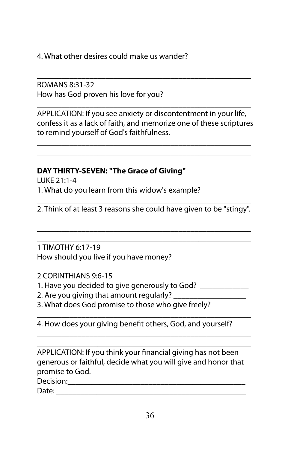4. What other desires could make us wander?

ROMANS 8:31-32 How has God proven his love for you?

APPLICATION: If you see anxiety or discontentment in your life, confess it as a lack of faith, and memorize one of these scriptures to remind yourself of God's faithfulness.

\_\_\_\_\_\_\_\_\_\_\_\_\_\_\_\_\_\_\_\_\_\_\_\_\_\_\_\_\_\_\_\_\_\_\_\_\_\_\_\_\_\_\_\_\_\_\_\_\_\_\_\_\_ \_\_\_\_\_\_\_\_\_\_\_\_\_\_\_\_\_\_\_\_\_\_\_\_\_\_\_\_\_\_\_\_\_\_\_\_\_\_\_\_\_\_\_\_\_\_\_\_\_\_\_\_\_

\_\_\_\_\_\_\_\_\_\_\_\_\_\_\_\_\_\_\_\_\_\_\_\_\_\_\_\_\_\_\_\_\_\_\_\_\_\_\_\_\_\_\_\_\_\_\_\_\_\_\_\_\_

\_\_\_\_\_\_\_\_\_\_\_\_\_\_\_\_\_\_\_\_\_\_\_\_\_\_\_\_\_\_\_\_\_\_\_\_\_\_\_\_\_\_\_\_\_\_\_\_\_\_\_\_\_ \_\_\_\_\_\_\_\_\_\_\_\_\_\_\_\_\_\_\_\_\_\_\_\_\_\_\_\_\_\_\_\_\_\_\_\_\_\_\_\_\_\_\_\_\_\_\_\_\_\_\_\_\_

#### **DAY THIRTY-SEVEN: "The Grace of Giving"**

LUKE 21:1-4 1. What do you learn from this widow's example?

\_\_\_\_\_\_\_\_\_\_\_\_\_\_\_\_\_\_\_\_\_\_\_\_\_\_\_\_\_\_\_\_\_\_\_\_\_\_\_\_\_\_\_\_\_\_\_\_\_\_\_\_\_ 2. Think of at least 3 reasons she could have given to be "stingy". \_\_\_\_\_\_\_\_\_\_\_\_\_\_\_\_\_\_\_\_\_\_\_\_\_\_\_\_\_\_\_\_\_\_\_\_\_\_\_\_\_\_\_\_\_\_\_\_\_\_\_\_\_

\_\_\_\_\_\_\_\_\_\_\_\_\_\_\_\_\_\_\_\_\_\_\_\_\_\_\_\_\_\_\_\_\_\_\_\_\_\_\_\_\_\_\_\_\_\_\_\_\_\_\_\_\_ \_\_\_\_\_\_\_\_\_\_\_\_\_\_\_\_\_\_\_\_\_\_\_\_\_\_\_\_\_\_\_\_\_\_\_\_\_\_\_\_\_\_\_\_\_\_\_\_\_\_\_\_\_

\_\_\_\_\_\_\_\_\_\_\_\_\_\_\_\_\_\_\_\_\_\_\_\_\_\_\_\_\_\_\_\_\_\_\_\_\_\_\_\_\_\_\_\_\_\_\_\_\_\_\_\_\_

1 TIMOTHY 6:17-19 How should you live if you have money?

2 CORINTHIANS 9:6-15

1. Have you decided to give generously to God?

- 2. Are you giving that amount regularly?
- 3. What does God promise to those who give freely?

\_\_\_\_\_\_\_\_\_\_\_\_\_\_\_\_\_\_\_\_\_\_\_\_\_\_\_\_\_\_\_\_\_\_\_\_\_\_\_\_\_\_\_\_\_\_\_\_\_\_\_\_\_ 4. How does your giving benefit others, God, and yourself?

\_\_\_\_\_\_\_\_\_\_\_\_\_\_\_\_\_\_\_\_\_\_\_\_\_\_\_\_\_\_\_\_\_\_\_\_\_\_\_\_\_\_\_\_\_\_\_\_\_\_\_\_\_ APPLICATION: If you think your financial giving has not been generous or faithful, decide what you will give and honor that promise to God.

\_\_\_\_\_\_\_\_\_\_\_\_\_\_\_\_\_\_\_\_\_\_\_\_\_\_\_\_\_\_\_\_\_\_\_\_\_\_\_\_\_\_\_\_\_\_\_\_\_\_\_\_\_

Decision:

Date: \_\_\_\_\_\_\_\_\_\_\_\_\_\_\_\_\_\_\_\_\_\_\_\_\_\_\_\_\_\_\_\_\_\_\_\_\_\_\_\_\_\_\_\_\_\_\_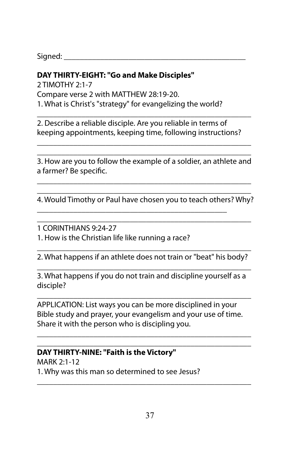Signed:  $\_\_$ 

#### **DAY THIRTY-EIGHT: "Go and Make Disciples"**

2 TIMOTHY 2:1-7 Compare verse 2 with MATTHEW 28:19-20. 1. What is Christ's "strategy" for evangelizing the world?

2. Describe a reliable disciple. Are you reliable in terms of keeping appointments, keeping time, following instructions?

\_\_\_\_\_\_\_\_\_\_\_\_\_\_\_\_\_\_\_\_\_\_\_\_\_\_\_\_\_\_\_\_\_\_\_\_\_\_\_\_\_\_\_\_\_\_\_\_\_\_\_\_\_

\_\_\_\_\_\_\_\_\_\_\_\_\_\_\_\_\_\_\_\_\_\_\_\_\_\_\_\_\_\_\_\_\_\_\_\_\_\_\_\_\_\_\_\_\_\_\_\_\_\_\_\_\_ 3. How are you to follow the example of a soldier, an athlete and a farmer? Be specific.

\_\_\_\_\_\_\_\_\_\_\_\_\_\_\_\_\_\_\_\_\_\_\_\_\_\_\_\_\_\_\_\_\_\_\_\_\_\_\_\_\_\_\_\_\_\_\_\_\_\_\_\_\_

\_\_\_\_\_\_\_\_\_\_\_\_\_\_\_\_\_\_\_\_\_\_\_\_\_\_\_\_\_\_\_\_\_\_\_\_\_\_\_\_\_\_\_\_\_\_\_\_\_\_\_\_\_

\_\_\_\_\_\_\_\_\_\_\_\_\_\_\_\_\_\_\_\_\_\_\_\_\_\_\_\_\_\_\_\_\_\_\_\_\_\_\_\_\_\_\_\_\_\_\_\_\_\_\_\_\_ 4. Would Timothy or Paul have chosen you to teach others? Why?

\_\_\_\_\_\_\_\_\_\_\_\_\_\_\_\_\_\_\_\_\_\_\_\_\_\_\_\_\_\_\_\_\_\_\_\_\_\_\_\_\_\_\_\_\_\_\_\_\_\_\_\_\_

\_\_\_\_\_\_\_\_\_\_\_\_\_\_\_\_\_\_\_\_\_\_\_\_\_\_\_\_\_\_\_\_\_\_\_\_\_\_\_\_\_\_\_\_\_\_\_

1 CORINTHIANS 9:24-27

1. How is the Christian life like running a race?

\_\_\_\_\_\_\_\_\_\_\_\_\_\_\_\_\_\_\_\_\_\_\_\_\_\_\_\_\_\_\_\_\_\_\_\_\_\_\_\_\_\_\_\_\_\_\_\_\_\_\_\_\_ 2. What happens if an athlete does not train or "beat" his body? \_\_\_\_\_\_\_\_\_\_\_\_\_\_\_\_\_\_\_\_\_\_\_\_\_\_\_\_\_\_\_\_\_\_\_\_\_\_\_\_\_\_\_\_\_\_\_\_\_\_\_\_\_

3. What happens if you do not train and discipline yourself as a disciple?

\_\_\_\_\_\_\_\_\_\_\_\_\_\_\_\_\_\_\_\_\_\_\_\_\_\_\_\_\_\_\_\_\_\_\_\_\_\_\_\_\_\_\_\_\_\_\_\_\_\_\_\_\_

APPLICATION: List ways you can be more disciplined in your Bible study and prayer, your evangelism and your use of time. Share it with the person who is discipling you.

\_\_\_\_\_\_\_\_\_\_\_\_\_\_\_\_\_\_\_\_\_\_\_\_\_\_\_\_\_\_\_\_\_\_\_\_\_\_\_\_\_\_\_\_\_\_\_\_\_\_\_\_\_ \_\_\_\_\_\_\_\_\_\_\_\_\_\_\_\_\_\_\_\_\_\_\_\_\_\_\_\_\_\_\_\_\_\_\_\_\_\_\_\_\_\_\_\_\_\_\_\_\_\_\_\_\_

\_\_\_\_\_\_\_\_\_\_\_\_\_\_\_\_\_\_\_\_\_\_\_\_\_\_\_\_\_\_\_\_\_\_\_\_\_\_\_\_\_\_\_\_\_\_\_\_\_\_\_\_\_

#### **DAY THIRTY-NINE: "Faith is the Victory"**

MARK 2:1-12 1. Why was this man so determined to see Jesus?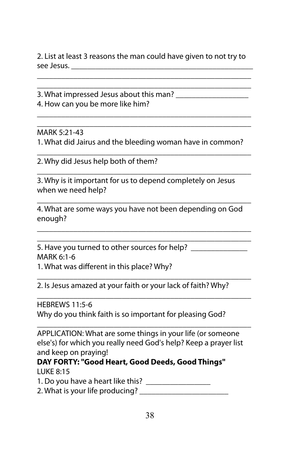2. List at least 3 reasons the man could have given to not try to see Jesus. \_\_\_\_\_\_\_\_\_\_\_\_\_\_\_\_\_\_\_\_\_\_\_\_\_\_\_\_\_\_\_\_\_\_\_\_\_\_\_\_\_\_\_\_\_

\_\_\_\_\_\_\_\_\_\_\_\_\_\_\_\_\_\_\_\_\_\_\_\_\_\_\_\_\_\_\_\_\_\_\_\_\_\_\_\_\_\_\_\_\_\_\_\_\_\_\_\_\_ \_\_\_\_\_\_\_\_\_\_\_\_\_\_\_\_\_\_\_\_\_\_\_\_\_\_\_\_\_\_\_\_\_\_\_\_\_\_\_\_\_\_\_\_\_\_\_\_\_\_\_\_\_

\_\_\_\_\_\_\_\_\_\_\_\_\_\_\_\_\_\_\_\_\_\_\_\_\_\_\_\_\_\_\_\_\_\_\_\_\_\_\_\_\_\_\_\_\_\_\_\_\_\_\_\_\_ \_\_\_\_\_\_\_\_\_\_\_\_\_\_\_\_\_\_\_\_\_\_\_\_\_\_\_\_\_\_\_\_\_\_\_\_\_\_\_\_\_\_\_\_\_\_\_\_\_\_\_\_\_

3. What impressed Jesus about this man? \_\_\_\_\_\_\_\_\_\_\_\_\_\_\_\_\_\_ 4. How can you be more like him?

MARK 5:21-43

1. What did Jairus and the bleeding woman have in common? \_\_\_\_\_\_\_\_\_\_\_\_\_\_\_\_\_\_\_\_\_\_\_\_\_\_\_\_\_\_\_\_\_\_\_\_\_\_\_\_\_\_\_\_\_\_\_\_\_\_\_\_\_

\_\_\_\_\_\_\_\_\_\_\_\_\_\_\_\_\_\_\_\_\_\_\_\_\_\_\_\_\_\_\_\_\_\_\_\_\_\_\_\_\_\_\_\_\_\_\_\_\_\_\_\_\_

\_\_\_\_\_\_\_\_\_\_\_\_\_\_\_\_\_\_\_\_\_\_\_\_\_\_\_\_\_\_\_\_\_\_\_\_\_\_\_\_\_\_\_\_\_\_\_\_\_\_\_\_\_

\_\_\_\_\_\_\_\_\_\_\_\_\_\_\_\_\_\_\_\_\_\_\_\_\_\_\_\_\_\_\_\_\_\_\_\_\_\_\_\_\_\_\_\_\_\_\_\_\_\_\_\_\_ \_\_\_\_\_\_\_\_\_\_\_\_\_\_\_\_\_\_\_\_\_\_\_\_\_\_\_\_\_\_\_\_\_\_\_\_\_\_\_\_\_\_\_\_\_\_\_\_\_\_\_\_\_

\_\_\_\_\_\_\_\_\_\_\_\_\_\_\_\_\_\_\_\_\_\_\_\_\_\_\_\_\_\_\_\_\_\_\_\_\_\_\_\_\_\_\_\_\_\_\_\_\_\_\_\_\_

2. Why did Jesus help both of them?

3. Why is it important for us to depend completely on Jesus when we need help?

4. What are some ways you have not been depending on God enough?

5. Have you turned to other sources for help? MARK 6:1-6

1. What was different in this place? Why?

2. Is Jesus amazed at your faith or your lack of faith? Why?

\_\_\_\_\_\_\_\_\_\_\_\_\_\_\_\_\_\_\_\_\_\_\_\_\_\_\_\_\_\_\_\_\_\_\_\_\_\_\_\_\_\_\_\_\_\_\_\_\_\_\_\_\_ HEBREWS 11:5-6 Why do you think faith is so important for pleasing God?

APPLICATION: What are some things in your life (or someone else's) for which you really need God's help? Keep a prayer list and keep on praying!

\_\_\_\_\_\_\_\_\_\_\_\_\_\_\_\_\_\_\_\_\_\_\_\_\_\_\_\_\_\_\_\_\_\_\_\_\_\_\_\_\_\_\_\_\_\_\_\_\_\_\_\_\_

**DAY FORTY: "Good Heart, Good Deeds, Good Things"** LUKE 8:15

1. Do you have a heart like this? \_\_\_\_\_\_\_\_\_\_\_\_\_\_\_\_

2. What is your life producing? \_\_\_\_\_\_\_\_\_\_\_\_\_\_\_\_\_\_\_\_\_\_